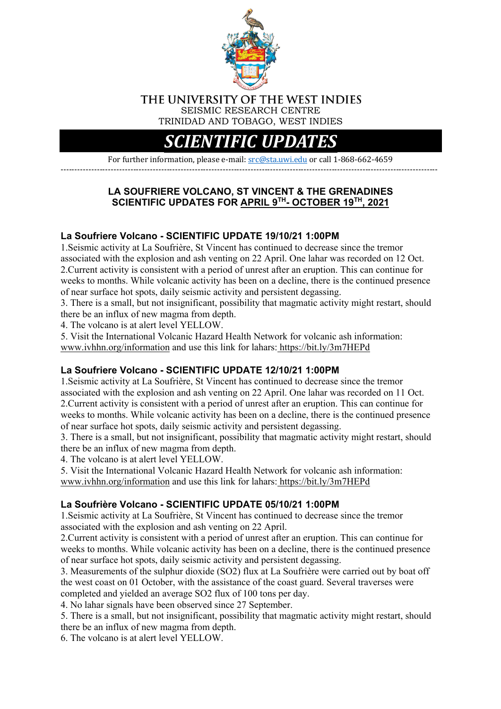

#### THE UNIVERSITY OF THE WEST INDIES SEISMIC RESEARCH CENTRE TRINIDAD AND TOBAGO, WEST INDIES

# *SCIENTIFIC UPD*

For further information, please e-mail: src@sta.uwi.edu or call 1-868-662-4659 ---------------------------------------------------------------------------------------------------------------------------------------

# **LA SOUFRIERE VOLCANO, ST VINCENT & THE GRENADINES SCIENTIFIC UPDATES FOR APRIL 9TH- OCTOBER 19TH, 2021**

# **La Soufriere Volcano - SCIENTIFIC UPDATE 19/10/21 1:00PM**

1.Seismic activity at La Soufrière, St Vincent has continued to decrease since the tremor associated with the explosion and ash venting on 22 April. One lahar was recorded on 12 Oct. 2.Current activity is consistent with a period of unrest after an eruption. This can continue for weeks to months. While volcanic activity has been on a decline, there is the continued presence of near surface hot spots, daily seismic activity and persistent degassing.

3. There is a small, but not insignificant, possibility that magmatic activity might restart, should there be an influx of new magma from depth.

4. The volcano is at alert level YELLOW.

5. Visit the International Volcanic Hazard Health Network for volcanic ash information: www.ivhhn.org/information and use this link for lahars: https://bit.ly/3m7HEPd

# **La Soufriere Volcano - SCIENTIFIC UPDATE 12/10/21 1:00PM**

1.Seismic activity at La Soufrière, St Vincent has continued to decrease since the tremor associated with the explosion and ash venting on 22 April. One lahar was recorded on 11 Oct. 2.Current activity is consistent with a period of unrest after an eruption. This can continue for weeks to months. While volcanic activity has been on a decline, there is the continued presence of near surface hot spots, daily seismic activity and persistent degassing.

3. There is a small, but not insignificant, possibility that magmatic activity might restart, should there be an influx of new magma from depth.

4. The volcano is at alert level YELLOW.

5. Visit the International Volcanic Hazard Health Network for volcanic ash information: www.ivhhn.org/information and use this link for lahars: https://bit.ly/3m7HEPd

# **La Soufrière Volcano - SCIENTIFIC UPDATE 05/10/21 1:00PM**

1.Seismic activity at La Soufrière, St Vincent has continued to decrease since the tremor associated with the explosion and ash venting on 22 April.

2.Current activity is consistent with a period of unrest after an eruption. This can continue for weeks to months. While volcanic activity has been on a decline, there is the continued presence of near surface hot spots, daily seismic activity and persistent degassing.

3. Measurements of the sulphur dioxide (SO2) flux at La Soufrière were carried out by boat off the west coast on 01 October, with the assistance of the coast guard. Several traverses were completed and yielded an average SO2 flux of 100 tons per day.

4. No lahar signals have been observed since 27 September.

5. There is a small, but not insignificant, possibility that magmatic activity might restart, should there be an influx of new magma from depth.

6. The volcano is at alert level YELLOW.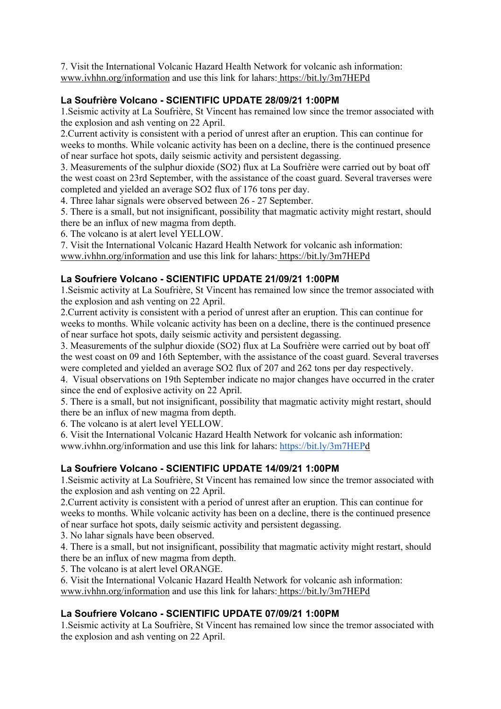7. Visit the International Volcanic Hazard Health Network for volcanic ash information: www.ivhhn.org/information and use this link for lahars: https://bit.ly/3m7HEPd

# **La Soufrière Volcano - SCIENTIFIC UPDATE 28/09/21 1:00PM**

1.Seismic activity at La Soufrière, St Vincent has remained low since the tremor associated with the explosion and ash venting on 22 April.

2.Current activity is consistent with a period of unrest after an eruption. This can continue for weeks to months. While volcanic activity has been on a decline, there is the continued presence of near surface hot spots, daily seismic activity and persistent degassing.

3. Measurements of the sulphur dioxide (SO2) flux at La Soufrière were carried out by boat off the west coast on 23rd September, with the assistance of the coast guard. Several traverses were completed and yielded an average SO2 flux of 176 tons per day.

4. Three lahar signals were observed between 26 - 27 September.

5. There is a small, but not insignificant, possibility that magmatic activity might restart, should there be an influx of new magma from depth.

6. The volcano is at alert level YELLOW.

7. Visit the International Volcanic Hazard Health Network for volcanic ash information: www.ivhhn.org/information and use this link for lahars: https://bit.ly/3m7HEPd

# **La Soufriere Volcano - SCIENTIFIC UPDATE 21/09/21 1:00PM**

1.Seismic activity at La Soufrière, St Vincent has remained low since the tremor associated with the explosion and ash venting on 22 April.

2.Current activity is consistent with a period of unrest after an eruption. This can continue for weeks to months. While volcanic activity has been on a decline, there is the continued presence of near surface hot spots, daily seismic activity and persistent degassing.

3. Measurements of the sulphur dioxide (SO2) flux at La Soufrière were carried out by boat off the west coast on 09 and 16th September, with the assistance of the coast guard. Several traverses were completed and yielded an average SO2 flux of 207 and 262 tons per day respectively.

4. Visual observations on 19th September indicate no major changes have occurred in the crater since the end of explosive activity on 22 April.

5. There is a small, but not insignificant, possibility that magmatic activity might restart, should there be an influx of new magma from depth.

6. The volcano is at alert level YELLOW.

6. Visit the International Volcanic Hazard Health Network for volcanic ash information: www.ivhhn.org/information and use this link for lahars: https://bit.ly/3m7HEPd

# **La Soufriere Volcano - SCIENTIFIC UPDATE 14/09/21 1:00PM**

1.Seismic activity at La Soufrière, St Vincent has remained low since the tremor associated with the explosion and ash venting on 22 April.

2.Current activity is consistent with a period of unrest after an eruption. This can continue for weeks to months. While volcanic activity has been on a decline, there is the continued presence of near surface hot spots, daily seismic activity and persistent degassing.

3. No lahar signals have been observed.

4. There is a small, but not insignificant, possibility that magmatic activity might restart, should there be an influx of new magma from depth.

5. The volcano is at alert level ORANGE.

6. Visit the International Volcanic Hazard Health Network for volcanic ash information: www.ivhhn.org/information and use this link for lahars: https://bit.ly/3m7HEPd

# **La Soufriere Volcano - SCIENTIFIC UPDATE 07/09/21 1:00PM**

1.Seismic activity at La Soufrière, St Vincent has remained low since the tremor associated with the explosion and ash venting on 22 April.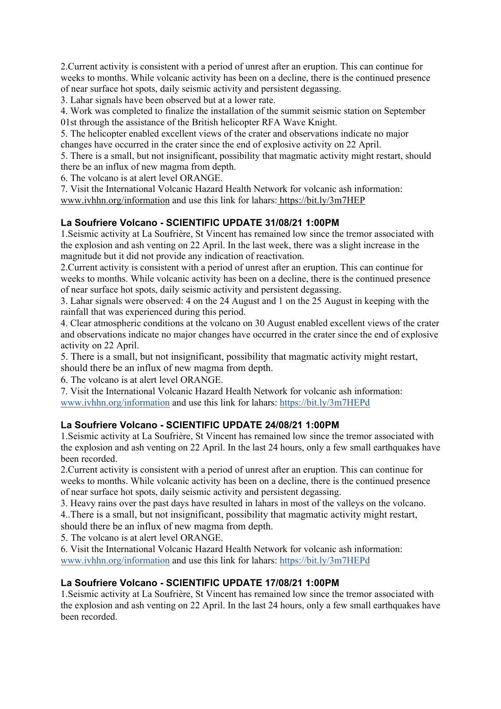2.Current activity is consistent with a period of unrest after an eruption. This can continue for weeks to months. While volcanic activity has been on a decline, there is the continued presence of near surface hot spots, daily seismic activity and persistent degassing.

3. Lahar signals have been observed but at a lower rate.

4. Work was completed to finalize the installation of the summit seismic station on September

01st through the assistance of the British helicopter RFA Wave Knight.

5. The helicopter enabled excellent views of the crater and observations indicate no major changes have occurred in the crater since the end of explosive activity on 22 April.

5. There is a small, but not insignificant, possibility that magmatic activity might restart, should there be an influx of new magma from depth.

6. The volcano is at alert level ORANGE.

7. Visit the International Volcanic Hazard Health Network for volcanic ash information: www.ivhhn.org/information and use this link for lahars: https://bit.ly/3m7HEP

# **La Soufriere Volcano - SCIENTIFIC UPDATE 31/08/21 1:00PM**

1.Seismic activity at La Soufrière, St Vincent has remained low since the tremor associated with the explosion and ash venting on 22 April. In the last week, there was a slight increase in the magnitude but it did not provide any indication of reactivation.

2.Current activity is consistent with a period of unrest after an eruption. This can continue for weeks to months. While volcanic activity has been on a decline, there is the continued presence of near surface hot spots, daily seismic activity and persistent degassing.

3. Lahar signals were observed: 4 on the 24 August and 1 on the 25 August in keeping with the rainfall that was experienced during this period.

4. Clear atmospheric conditions at the volcano on 30 August enabled excellent views of the crater and observations indicate no major changes have occurred in the crater since the end of explosive activity on 22 April.

5. There is a small, but not insignificant, possibility that magmatic activity might restart, should there be an influx of new magma from depth.

6. The volcano is at alert level ORANGE.

7. Visit the International Volcanic Hazard Health Network for volcanic ash information: www.ivhhn.org/information and use this link for lahars: https://bit.ly/3m7HEPd

# **La Soufriere Volcano - SCIENTIFIC UPDATE 24/08/21 1:00PM**

1.Seismic activity at La Soufrière, St Vincent has remained low since the tremor associated with the explosion and ash venting on 22 April. In the last 24 hours, only a few small earthquakes have been recorded.

2.Current activity is consistent with a period of unrest after an eruption. This can continue for weeks to months. While volcanic activity has been on a decline, there is the continued presence of near surface hot spots, daily seismic activity and persistent degassing.

3. Heavy rains over the past days have resulted in lahars in most of the valleys on the volcano.

4..There is a small, but not insignificant, possibility that magmatic activity might restart, should there be an influx of new magma from depth.

5. The volcano is at alert level ORANGE.

6. Visit the International Volcanic Hazard Health Network for volcanic ash information: www.ivhhn.org/information and use this link for lahars: https://bit.ly/3m7HEPd

# **La Soufriere Volcano - SCIENTIFIC UPDATE 17/08/21 1:00PM**

1.Seismic activity at La Soufrière, St Vincent has remained low since the tremor associated with the explosion and ash venting on 22 April. In the last 24 hours, only a few small earthquakes have been recorded.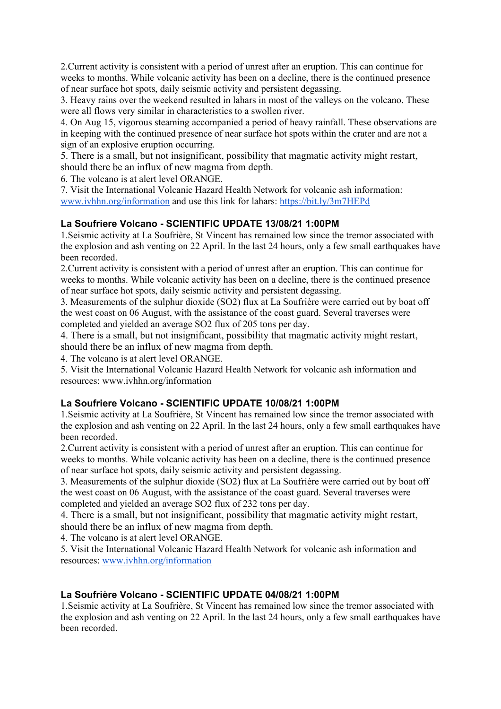2.Current activity is consistent with a period of unrest after an eruption. This can continue for weeks to months. While volcanic activity has been on a decline, there is the continued presence of near surface hot spots, daily seismic activity and persistent degassing.

3. Heavy rains over the weekend resulted in lahars in most of the valleys on the volcano. These were all flows very similar in characteristics to a swollen river.

4. On Aug 15, vigorous steaming accompanied a period of heavy rainfall. These observations are in keeping with the continued presence of near surface hot spots within the crater and are not a sign of an explosive eruption occurring.

5. There is a small, but not insignificant, possibility that magmatic activity might restart, should there be an influx of new magma from depth.

6. The volcano is at alert level ORANGE.

7. Visit the International Volcanic Hazard Health Network for volcanic ash information: www.ivhhn.org/information and use this link for lahars: https://bit.ly/3m7HEPd

# **La Soufriere Volcano - SCIENTIFIC UPDATE 13/08/21 1:00PM**

1.Seismic activity at La Soufrière, St Vincent has remained low since the tremor associated with the explosion and ash venting on 22 April. In the last 24 hours, only a few small earthquakes have been recorded.

2.Current activity is consistent with a period of unrest after an eruption. This can continue for weeks to months. While volcanic activity has been on a decline, there is the continued presence of near surface hot spots, daily seismic activity and persistent degassing.

3. Measurements of the sulphur dioxide (SO2) flux at La Soufrière were carried out by boat off the west coast on 06 August, with the assistance of the coast guard. Several traverses were completed and yielded an average SO2 flux of 205 tons per day.

4. There is a small, but not insignificant, possibility that magmatic activity might restart, should there be an influx of new magma from depth.

4. The volcano is at alert level ORANGE.

5. Visit the International Volcanic Hazard Health Network for volcanic ash information and resources: www.ivhhn.org/information

# **La Soufriere Volcano - SCIENTIFIC UPDATE 10/08/21 1:00PM**

1.Seismic activity at La Soufrière, St Vincent has remained low since the tremor associated with the explosion and ash venting on 22 April. In the last 24 hours, only a few small earthquakes have been recorded.

2.Current activity is consistent with a period of unrest after an eruption. This can continue for weeks to months. While volcanic activity has been on a decline, there is the continued presence of near surface hot spots, daily seismic activity and persistent degassing.

3. Measurements of the sulphur dioxide (SO2) flux at La Soufrière were carried out by boat off the west coast on 06 August, with the assistance of the coast guard. Several traverses were completed and yielded an average SO2 flux of 232 tons per day.

4. There is a small, but not insignificant, possibility that magmatic activity might restart, should there be an influx of new magma from depth.

4. The volcano is at alert level ORANGE.

5. Visit the International Volcanic Hazard Health Network for volcanic ash information and resources: www.ivhhn.org/information

# **La Soufrière Volcano - SCIENTIFIC UPDATE 04/08/21 1:00PM**

1.Seismic activity at La Soufrière, St Vincent has remained low since the tremor associated with the explosion and ash venting on 22 April. In the last 24 hours, only a few small earthquakes have been recorded.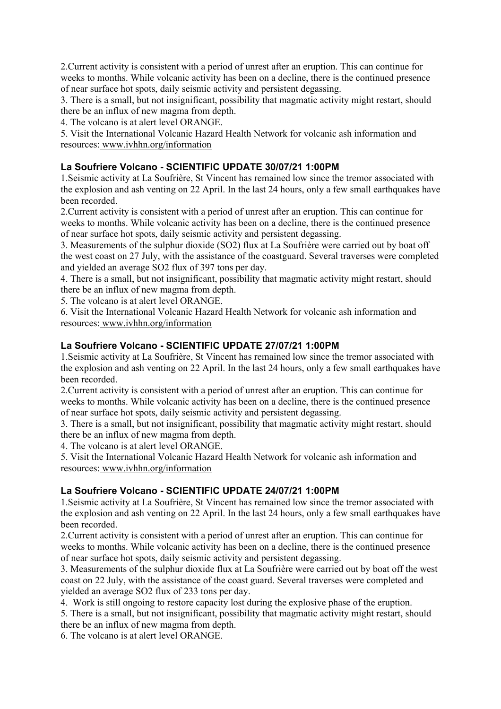2.Current activity is consistent with a period of unrest after an eruption. This can continue for weeks to months. While volcanic activity has been on a decline, there is the continued presence of near surface hot spots, daily seismic activity and persistent degassing.

3. There is a small, but not insignificant, possibility that magmatic activity might restart, should there be an influx of new magma from depth.

4. The volcano is at alert level ORANGE.

5. Visit the International Volcanic Hazard Health Network for volcanic ash information and resources: www.ivhhn.org/information

# **La Soufriere Volcano - SCIENTIFIC UPDATE 30/07/21 1:00PM**

1.Seismic activity at La Soufrière, St Vincent has remained low since the tremor associated with the explosion and ash venting on 22 April. In the last 24 hours, only a few small earthquakes have been recorded.

2.Current activity is consistent with a period of unrest after an eruption. This can continue for weeks to months. While volcanic activity has been on a decline, there is the continued presence of near surface hot spots, daily seismic activity and persistent degassing.

3. Measurements of the sulphur dioxide (SO2) flux at La Soufrière were carried out by boat off the west coast on 27 July, with the assistance of the coastguard. Several traverses were completed and yielded an average SO2 flux of 397 tons per day.

4. There is a small, but not insignificant, possibility that magmatic activity might restart, should there be an influx of new magma from depth.

5. The volcano is at alert level ORANGE.

6. Visit the International Volcanic Hazard Health Network for volcanic ash information and resources: www.ivhhn.org/information

# **La Soufriere Volcano - SCIENTIFIC UPDATE 27/07/21 1:00PM**

1.Seismic activity at La Soufrière, St Vincent has remained low since the tremor associated with the explosion and ash venting on 22 April. In the last 24 hours, only a few small earthquakes have been recorded.

2.Current activity is consistent with a period of unrest after an eruption. This can continue for weeks to months. While volcanic activity has been on a decline, there is the continued presence of near surface hot spots, daily seismic activity and persistent degassing.

3. There is a small, but not insignificant, possibility that magmatic activity might restart, should there be an influx of new magma from depth.

4. The volcano is at alert level ORANGE.

5. Visit the International Volcanic Hazard Health Network for volcanic ash information and resources: www.ivhhn.org/information

# **La Soufriere Volcano - SCIENTIFIC UPDATE 24/07/21 1:00PM**

1.Seismic activity at La Soufrière, St Vincent has remained low since the tremor associated with the explosion and ash venting on 22 April. In the last 24 hours, only a few small earthquakes have been recorded.

2.Current activity is consistent with a period of unrest after an eruption. This can continue for weeks to months. While volcanic activity has been on a decline, there is the continued presence of near surface hot spots, daily seismic activity and persistent degassing.

3. Measurements of the sulphur dioxide flux at La Soufrière were carried out by boat off the west coast on 22 July, with the assistance of the coast guard. Several traverses were completed and yielded an average SO2 flux of 233 tons per day.

4. Work is still ongoing to restore capacity lost during the explosive phase of the eruption.

5. There is a small, but not insignificant, possibility that magmatic activity might restart, should there be an influx of new magma from depth.

6. The volcano is at alert level ORANGE.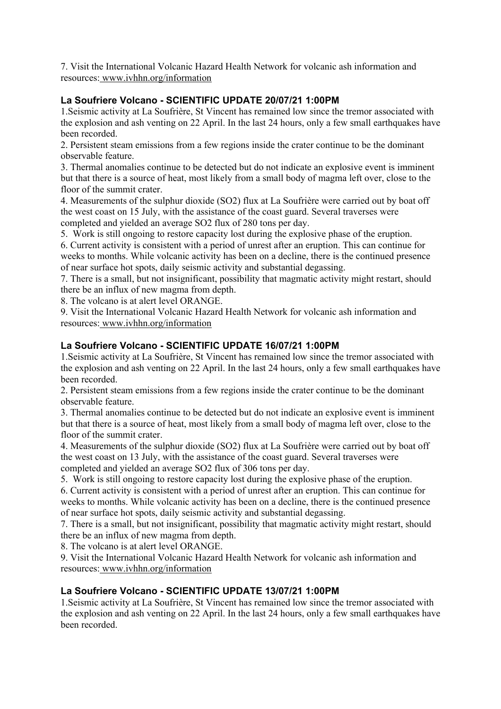7. Visit the International Volcanic Hazard Health Network for volcanic ash information and resources: www.ivhhn.org/information

# **La Soufriere Volcano - SCIENTIFIC UPDATE 20/07/21 1:00PM**

1.Seismic activity at La Soufrière, St Vincent has remained low since the tremor associated with the explosion and ash venting on 22 April. In the last 24 hours, only a few small earthquakes have been recorded.

2. Persistent steam emissions from a few regions inside the crater continue to be the dominant observable feature.

3. Thermal anomalies continue to be detected but do not indicate an explosive event is imminent but that there is a source of heat, most likely from a small body of magma left over, close to the floor of the summit crater.

4. Measurements of the sulphur dioxide (SO2) flux at La Soufrière were carried out by boat off the west coast on 15 July, with the assistance of the coast guard. Several traverses were completed and yielded an average SO2 flux of 280 tons per day.

5. Work is still ongoing to restore capacity lost during the explosive phase of the eruption.

6. Current activity is consistent with a period of unrest after an eruption. This can continue for weeks to months. While volcanic activity has been on a decline, there is the continued presence of near surface hot spots, daily seismic activity and substantial degassing.

7. There is a small, but not insignificant, possibility that magmatic activity might restart, should there be an influx of new magma from depth.

8. The volcano is at alert level ORANGE.

9. Visit the International Volcanic Hazard Health Network for volcanic ash information and resources: www.ivhhn.org/information

# **La Soufriere Volcano - SCIENTIFIC UPDATE 16/07/21 1:00PM**

1.Seismic activity at La Soufrière, St Vincent has remained low since the tremor associated with the explosion and ash venting on 22 April. In the last 24 hours, only a few small earthquakes have been recorded.

2. Persistent steam emissions from a few regions inside the crater continue to be the dominant observable feature.

3. Thermal anomalies continue to be detected but do not indicate an explosive event is imminent but that there is a source of heat, most likely from a small body of magma left over, close to the floor of the summit crater.

4. Measurements of the sulphur dioxide (SO2) flux at La Soufrière were carried out by boat off the west coast on 13 July, with the assistance of the coast guard. Several traverses were completed and yielded an average SO2 flux of 306 tons per day.

5. Work is still ongoing to restore capacity lost during the explosive phase of the eruption.

6. Current activity is consistent with a period of unrest after an eruption. This can continue for weeks to months. While volcanic activity has been on a decline, there is the continued presence of near surface hot spots, daily seismic activity and substantial degassing.

7. There is a small, but not insignificant, possibility that magmatic activity might restart, should there be an influx of new magma from depth.

8. The volcano is at alert level ORANGE.

9. Visit the International Volcanic Hazard Health Network for volcanic ash information and resources: www.ivhhn.org/information

# **La Soufriere Volcano - SCIENTIFIC UPDATE 13/07/21 1:00PM**

1.Seismic activity at La Soufrière, St Vincent has remained low since the tremor associated with the explosion and ash venting on 22 April. In the last 24 hours, only a few small earthquakes have been recorded.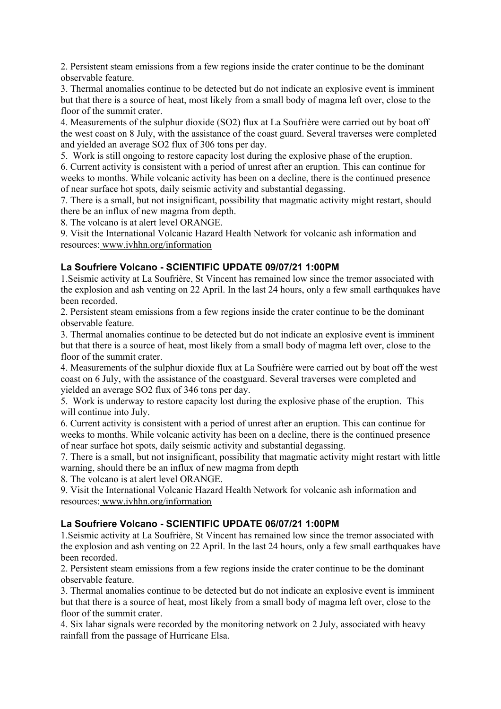2. Persistent steam emissions from a few regions inside the crater continue to be the dominant observable feature.

3. Thermal anomalies continue to be detected but do not indicate an explosive event is imminent but that there is a source of heat, most likely from a small body of magma left over, close to the floor of the summit crater.

4. Measurements of the sulphur dioxide (SO2) flux at La Soufrière were carried out by boat off the west coast on 8 July, with the assistance of the coast guard. Several traverses were completed and yielded an average SO2 flux of 306 tons per day.

5. Work is still ongoing to restore capacity lost during the explosive phase of the eruption.

6. Current activity is consistent with a period of unrest after an eruption. This can continue for weeks to months. While volcanic activity has been on a decline, there is the continued presence of near surface hot spots, daily seismic activity and substantial degassing.

7. There is a small, but not insignificant, possibility that magmatic activity might restart, should there be an influx of new magma from depth.

8. The volcano is at alert level ORANGE.

9. Visit the International Volcanic Hazard Health Network for volcanic ash information and resources: www.ivhhn.org/information

## **La Soufriere Volcano - SCIENTIFIC UPDATE 09/07/21 1:00PM**

1.Seismic activity at La Soufrière, St Vincent has remained low since the tremor associated with the explosion and ash venting on 22 April. In the last 24 hours, only a few small earthquakes have been recorded.

2. Persistent steam emissions from a few regions inside the crater continue to be the dominant observable feature.

3. Thermal anomalies continue to be detected but do not indicate an explosive event is imminent but that there is a source of heat, most likely from a small body of magma left over, close to the floor of the summit crater.

4. Measurements of the sulphur dioxide flux at La Soufrière were carried out by boat off the west coast on 6 July, with the assistance of the coastguard. Several traverses were completed and yielded an average SO2 flux of 346 tons per day.

5. Work is underway to restore capacity lost during the explosive phase of the eruption. This will continue into July.

6. Current activity is consistent with a period of unrest after an eruption. This can continue for weeks to months. While volcanic activity has been on a decline, there is the continued presence of near surface hot spots, daily seismic activity and substantial degassing.

7. There is a small, but not insignificant, possibility that magmatic activity might restart with little warning, should there be an influx of new magma from depth

8. The volcano is at alert level ORANGE.

9. Visit the International Volcanic Hazard Health Network for volcanic ash information and resources: www.ivhhn.org/information

# **La Soufriere Volcano - SCIENTIFIC UPDATE 06/07/21 1:00PM**

1.Seismic activity at La Soufrière, St Vincent has remained low since the tremor associated with the explosion and ash venting on 22 April. In the last 24 hours, only a few small earthquakes have been recorded.

2. Persistent steam emissions from a few regions inside the crater continue to be the dominant observable feature.

3. Thermal anomalies continue to be detected but do not indicate an explosive event is imminent but that there is a source of heat, most likely from a small body of magma left over, close to the floor of the summit crater.

4. Six lahar signals were recorded by the monitoring network on 2 July, associated with heavy rainfall from the passage of Hurricane Elsa.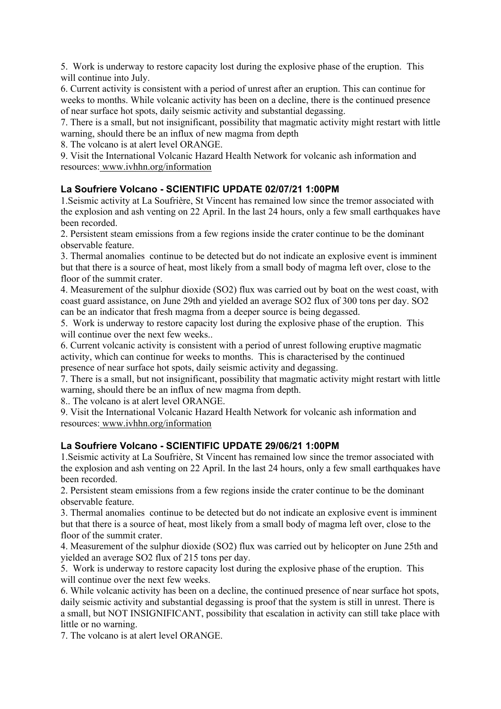5. Work is underway to restore capacity lost during the explosive phase of the eruption. This will continue into July.

6. Current activity is consistent with a period of unrest after an eruption. This can continue for weeks to months. While volcanic activity has been on a decline, there is the continued presence of near surface hot spots, daily seismic activity and substantial degassing.

7. There is a small, but not insignificant, possibility that magmatic activity might restart with little warning, should there be an influx of new magma from depth

8. The volcano is at alert level ORANGE.

9. Visit the International Volcanic Hazard Health Network for volcanic ash information and resources: www.ivhhn.org/information

# **La Soufriere Volcano - SCIENTIFIC UPDATE 02/07/21 1:00PM**

1.Seismic activity at La Soufrière, St Vincent has remained low since the tremor associated with the explosion and ash venting on 22 April. In the last 24 hours, only a few small earthquakes have been recorded.

2. Persistent steam emissions from a few regions inside the crater continue to be the dominant observable feature.

3. Thermal anomalies continue to be detected but do not indicate an explosive event is imminent but that there is a source of heat, most likely from a small body of magma left over, close to the floor of the summit crater.

4. Measurement of the sulphur dioxide (SO2) flux was carried out by boat on the west coast, with coast guard assistance, on June 29th and yielded an average SO2 flux of 300 tons per day. SO2 can be an indicator that fresh magma from a deeper source is being degassed.

5. Work is underway to restore capacity lost during the explosive phase of the eruption. This will continue over the next few weeks..

6. Current volcanic activity is consistent with a period of unrest following eruptive magmatic activity, which can continue for weeks to months. This is characterised by the continued presence of near surface hot spots, daily seismic activity and degassing.

7. There is a small, but not insignificant, possibility that magmatic activity might restart with little warning, should there be an influx of new magma from depth.

8.. The volcano is at alert level ORANGE.

9. Visit the International Volcanic Hazard Health Network for volcanic ash information and resources: www.ivhhn.org/information

# **La Soufriere Volcano - SCIENTIFIC UPDATE 29/06/21 1:00PM**

1.Seismic activity at La Soufrière, St Vincent has remained low since the tremor associated with the explosion and ash venting on 22 April. In the last 24 hours, only a few small earthquakes have been recorded.

2. Persistent steam emissions from a few regions inside the crater continue to be the dominant observable feature.

3. Thermal anomalies continue to be detected but do not indicate an explosive event is imminent but that there is a source of heat, most likely from a small body of magma left over, close to the floor of the summit crater.

4. Measurement of the sulphur dioxide (SO2) flux was carried out by helicopter on June 25th and yielded an average SO2 flux of 215 tons per day.

5. Work is underway to restore capacity lost during the explosive phase of the eruption. This will continue over the next few weeks.

6. While volcanic activity has been on a decline, the continued presence of near surface hot spots, daily seismic activity and substantial degassing is proof that the system is still in unrest. There is a small, but NOT INSIGNIFICANT, possibility that escalation in activity can still take place with little or no warning.

7. The volcano is at alert level ORANGE.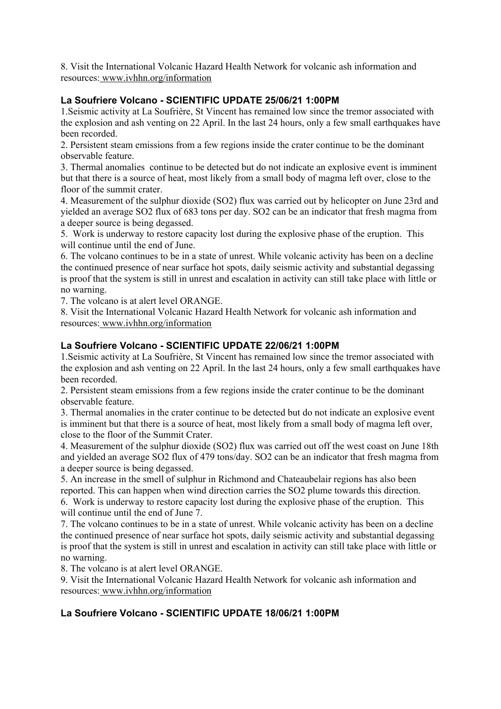8. Visit the International Volcanic Hazard Health Network for volcanic ash information and resources: www.ivhhn.org/information

# **La Soufriere Volcano - SCIENTIFIC UPDATE 25/06/21 1:00PM**

1.Seismic activity at La Soufrière, St Vincent has remained low since the tremor associated with the explosion and ash venting on 22 April. In the last 24 hours, only a few small earthquakes have been recorded.

2. Persistent steam emissions from a few regions inside the crater continue to be the dominant observable feature.

3. Thermal anomalies continue to be detected but do not indicate an explosive event is imminent but that there is a source of heat, most likely from a small body of magma left over, close to the floor of the summit crater.

4. Measurement of the sulphur dioxide (SO2) flux was carried out by helicopter on June 23rd and yielded an average SO2 flux of 683 tons per day. SO2 can be an indicator that fresh magma from a deeper source is being degassed.

5. Work is underway to restore capacity lost during the explosive phase of the eruption. This will continue until the end of June.

6. The volcano continues to be in a state of unrest. While volcanic activity has been on a decline the continued presence of near surface hot spots, daily seismic activity and substantial degassing is proof that the system is still in unrest and escalation in activity can still take place with little or no warning.

7. The volcano is at alert level ORANGE.

8. Visit the International Volcanic Hazard Health Network for volcanic ash information and resources: www.ivhhn.org/information

# **La Soufriere Volcano - SCIENTIFIC UPDATE 22/06/21 1:00PM**

1.Seismic activity at La Soufrière, St Vincent has remained low since the tremor associated with the explosion and ash venting on 22 April. In the last 24 hours, only a few small earthquakes have been recorded.

2. Persistent steam emissions from a few regions inside the crater continue to be the dominant observable feature.

3. Thermal anomalies in the crater continue to be detected but do not indicate an explosive event is imminent but that there is a source of heat, most likely from a small body of magma left over, close to the floor of the Summit Crater.

4. Measurement of the sulphur dioxide (SO2) flux was carried out off the west coast on June 18th and yielded an average SO2 flux of 479 tons/day. SO2 can be an indicator that fresh magma from a deeper source is being degassed.

5. An increase in the smell of sulphur in Richmond and Chateaubelair regions has also been reported. This can happen when wind direction carries the SO2 plume towards this direction.

6. Work is underway to restore capacity lost during the explosive phase of the eruption. This will continue until the end of June 7.

7. The volcano continues to be in a state of unrest. While volcanic activity has been on a decline the continued presence of near surface hot spots, daily seismic activity and substantial degassing is proof that the system is still in unrest and escalation in activity can still take place with little or no warning.

8. The volcano is at alert level ORANGE.

9. Visit the International Volcanic Hazard Health Network for volcanic ash information and resources: www.ivhhn.org/information

# **La Soufriere Volcano - SCIENTIFIC UPDATE 18/06/21 1:00PM**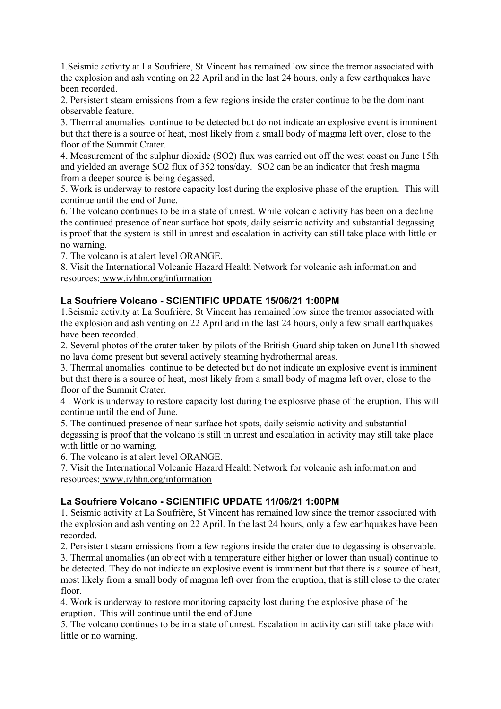1.Seismic activity at La Soufrière, St Vincent has remained low since the tremor associated with the explosion and ash venting on 22 April and in the last 24 hours, only a few earthquakes have been recorded.

2. Persistent steam emissions from a few regions inside the crater continue to be the dominant observable feature.

3. Thermal anomalies continue to be detected but do not indicate an explosive event is imminent but that there is a source of heat, most likely from a small body of magma left over, close to the floor of the Summit Crater.

4. Measurement of the sulphur dioxide (SO2) flux was carried out off the west coast on June 15th and yielded an average SO2 flux of 352 tons/day. SO2 can be an indicator that fresh magma from a deeper source is being degassed.

5. Work is underway to restore capacity lost during the explosive phase of the eruption. This will continue until the end of June.

6. The volcano continues to be in a state of unrest. While volcanic activity has been on a decline the continued presence of near surface hot spots, daily seismic activity and substantial degassing is proof that the system is still in unrest and escalation in activity can still take place with little or no warning.

7. The volcano is at alert level ORANGE.

8. Visit the International Volcanic Hazard Health Network for volcanic ash information and resources: www.ivhhn.org/information

## **La Soufriere Volcano - SCIENTIFIC UPDATE 15/06/21 1:00PM**

1.Seismic activity at La Soufrière, St Vincent has remained low since the tremor associated with the explosion and ash venting on 22 April and in the last 24 hours, only a few small earthquakes have been recorded.

2. Several photos of the crater taken by pilots of the British Guard ship taken on June11th showed no lava dome present but several actively steaming hydrothermal areas.

3. Thermal anomalies continue to be detected but do not indicate an explosive event is imminent but that there is a source of heat, most likely from a small body of magma left over, close to the floor of the Summit Crater.

4 . Work is underway to restore capacity lost during the explosive phase of the eruption. This will continue until the end of June.

5. The continued presence of near surface hot spots, daily seismic activity and substantial degassing is proof that the volcano is still in unrest and escalation in activity may still take place with little or no warning.

6. The volcano is at alert level ORANGE.

7. Visit the International Volcanic Hazard Health Network for volcanic ash information and resources: www.ivhhn.org/information

#### **La Soufriere Volcano - SCIENTIFIC UPDATE 11/06/21 1:00PM**

1. Seismic activity at La Soufrière, St Vincent has remained low since the tremor associated with the explosion and ash venting on 22 April. In the last 24 hours, only a few earthquakes have been recorded.

2. Persistent steam emissions from a few regions inside the crater due to degassing is observable.

3. Thermal anomalies (an object with a temperature either higher or lower than usual) continue to be detected. They do not indicate an explosive event is imminent but that there is a source of heat, most likely from a small body of magma left over from the eruption, that is still close to the crater floor.

4. Work is underway to restore monitoring capacity lost during the explosive phase of the eruption. This will continue until the end of June

5. The volcano continues to be in a state of unrest. Escalation in activity can still take place with little or no warning.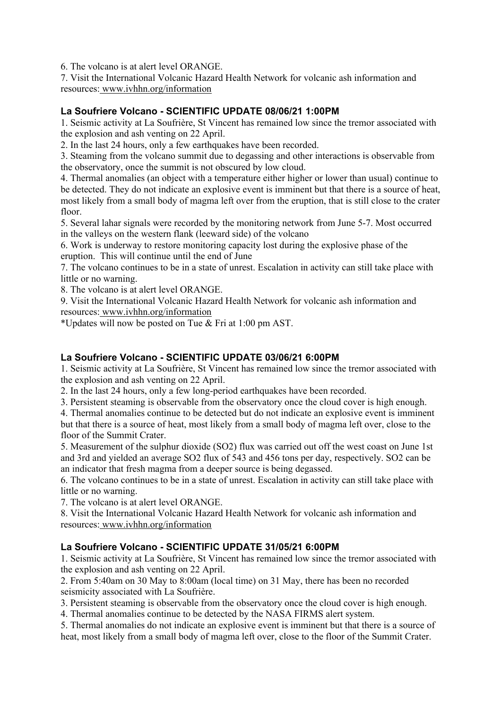6. The volcano is at alert level ORANGE.

7. Visit the International Volcanic Hazard Health Network for volcanic ash information and resources: www.ivhhn.org/information

# **La Soufriere Volcano - SCIENTIFIC UPDATE 08/06/21 1:00PM**

1. Seismic activity at La Soufrière, St Vincent has remained low since the tremor associated with the explosion and ash venting on 22 April.

2. In the last 24 hours, only a few earthquakes have been recorded.

3. Steaming from the volcano summit due to degassing and other interactions is observable from the observatory, once the summit is not obscured by low cloud.

4. Thermal anomalies (an object with a temperature either higher or lower than usual) continue to be detected. They do not indicate an explosive event is imminent but that there is a source of heat, most likely from a small body of magma left over from the eruption, that is still close to the crater floor.

5. Several lahar signals were recorded by the monitoring network from June 5-7. Most occurred in the valleys on the western flank (leeward side) of the volcano

6. Work is underway to restore monitoring capacity lost during the explosive phase of the eruption. This will continue until the end of June

7. The volcano continues to be in a state of unrest. Escalation in activity can still take place with little or no warning.

8. The volcano is at alert level ORANGE.

9. Visit the International Volcanic Hazard Health Network for volcanic ash information and resources: www.ivhhn.org/information

\*Updates will now be posted on Tue & Fri at 1:00 pm AST.

# **La Soufriere Volcano - SCIENTIFIC UPDATE 03/06/21 6:00PM**

1. Seismic activity at La Soufrière, St Vincent has remained low since the tremor associated with the explosion and ash venting on 22 April.

2. In the last 24 hours, only a few long-period earthquakes have been recorded.

3. Persistent steaming is observable from the observatory once the cloud cover is high enough.

4. Thermal anomalies continue to be detected but do not indicate an explosive event is imminent

but that there is a source of heat, most likely from a small body of magma left over, close to the floor of the Summit Crater.

5. Measurement of the sulphur dioxide (SO2) flux was carried out off the west coast on June 1st and 3rd and yielded an average SO2 flux of 543 and 456 tons per day, respectively. SO2 can be an indicator that fresh magma from a deeper source is being degassed.

6. The volcano continues to be in a state of unrest. Escalation in activity can still take place with little or no warning.

7. The volcano is at alert level ORANGE.

8. Visit the International Volcanic Hazard Health Network for volcanic ash information and resources: www.ivhhn.org/information

#### **La Soufriere Volcano - SCIENTIFIC UPDATE 31/05/21 6:00PM**

1. Seismic activity at La Soufrière, St Vincent has remained low since the tremor associated with the explosion and ash venting on 22 April.

2. From 5:40am on 30 May to 8:00am (local time) on 31 May, there has been no recorded seismicity associated with La Soufrière.

3. Persistent steaming is observable from the observatory once the cloud cover is high enough.

4. Thermal anomalies continue to be detected by the NASA FIRMS alert system.

5. Thermal anomalies do not indicate an explosive event is imminent but that there is a source of heat, most likely from a small body of magma left over, close to the floor of the Summit Crater.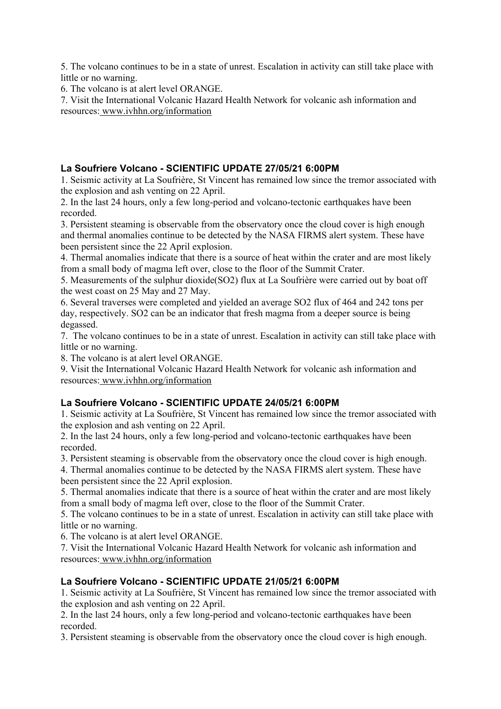5. The volcano continues to be in a state of unrest. Escalation in activity can still take place with little or no warning.

6. The volcano is at alert level ORANGE.

7. Visit the International Volcanic Hazard Health Network for volcanic ash information and resources: www.ivhhn.org/information

# **La Soufriere Volcano - SCIENTIFIC UPDATE 27/05/21 6:00PM**

1. Seismic activity at La Soufrière, St Vincent has remained low since the tremor associated with the explosion and ash venting on 22 April.

2. In the last 24 hours, only a few long-period and volcano-tectonic earthquakes have been recorded.

3. Persistent steaming is observable from the observatory once the cloud cover is high enough and thermal anomalies continue to be detected by the NASA FIRMS alert system. These have been persistent since the 22 April explosion.

4. Thermal anomalies indicate that there is a source of heat within the crater and are most likely from a small body of magma left over, close to the floor of the Summit Crater.

5. Measurements of the sulphur dioxide(SO2) flux at La Soufrière were carried out by boat off the west coast on 25 May and 27 May.

6. Several traverses were completed and yielded an average SO2 flux of 464 and 242 tons per day, respectively. SO2 can be an indicator that fresh magma from a deeper source is being degassed.

7. The volcano continues to be in a state of unrest. Escalation in activity can still take place with little or no warning.

8. The volcano is at alert level ORANGE.

9. Visit the International Volcanic Hazard Health Network for volcanic ash information and resources: www.ivhhn.org/information

# **La Soufriere Volcano - SCIENTIFIC UPDATE 24/05/21 6:00PM**

1. Seismic activity at La Soufrière, St Vincent has remained low since the tremor associated with the explosion and ash venting on 22 April.

2. In the last 24 hours, only a few long-period and volcano-tectonic earthquakes have been recorded.

3. Persistent steaming is observable from the observatory once the cloud cover is high enough.

4. Thermal anomalies continue to be detected by the NASA FIRMS alert system. These have been persistent since the 22 April explosion.

5. Thermal anomalies indicate that there is a source of heat within the crater and are most likely from a small body of magma left over, close to the floor of the Summit Crater.

5. The volcano continues to be in a state of unrest. Escalation in activity can still take place with little or no warning.

6. The volcano is at alert level ORANGE.

7. Visit the International Volcanic Hazard Health Network for volcanic ash information and resources: www.ivhhn.org/information

# **La Soufriere Volcano - SCIENTIFIC UPDATE 21/05/21 6:00PM**

1. Seismic activity at La Soufrière, St Vincent has remained low since the tremor associated with the explosion and ash venting on 22 April.

2. In the last 24 hours, only a few long-period and volcano-tectonic earthquakes have been recorded.

3. Persistent steaming is observable from the observatory once the cloud cover is high enough.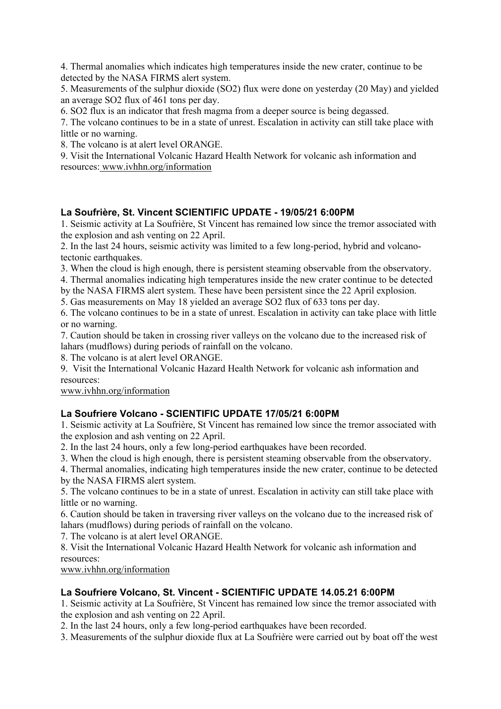4. Thermal anomalies which indicates high temperatures inside the new crater, continue to be detected by the NASA FIRMS alert system.

5. Measurements of the sulphur dioxide (SO2) flux were done on yesterday (20 May) and yielded an average SO2 flux of 461 tons per day.

6. SO2 flux is an indicator that fresh magma from a deeper source is being degassed.

7. The volcano continues to be in a state of unrest. Escalation in activity can still take place with little or no warning.

8. The volcano is at alert level ORANGE.

9. Visit the International Volcanic Hazard Health Network for volcanic ash information and resources: www.ivhhn.org/information

# **La Soufrière, St. Vincent SCIENTIFIC UPDATE - 19/05/21 6:00PM**

1. Seismic activity at La Soufrière, St Vincent has remained low since the tremor associated with the explosion and ash venting on 22 April.

2. In the last 24 hours, seismic activity was limited to a few long-period, hybrid and volcanotectonic earthquakes.

3. When the cloud is high enough, there is persistent steaming observable from the observatory.

4. Thermal anomalies indicating high temperatures inside the new crater continue to be detected

by the NASA FIRMS alert system. These have been persistent since the 22 April explosion.

5. Gas measurements on May 18 yielded an average SO2 flux of 633 tons per day.

6. The volcano continues to be in a state of unrest. Escalation in activity can take place with little or no warning.

7. Caution should be taken in crossing river valleys on the volcano due to the increased risk of lahars (mudflows) during periods of rainfall on the volcano.

8. The volcano is at alert level ORANGE.

9. Visit the International Volcanic Hazard Health Network for volcanic ash information and resources:

www.ivhhn.org/information

# **La Soufriere Volcano - SCIENTIFIC UPDATE 17/05/21 6:00PM**

1. Seismic activity at La Soufrière, St Vincent has remained low since the tremor associated with the explosion and ash venting on 22 April.

2. In the last 24 hours, only a few long-period earthquakes have been recorded.

3. When the cloud is high enough, there is persistent steaming observable from the observatory.

4. Thermal anomalies, indicating high temperatures inside the new crater, continue to be detected by the NASA FIRMS alert system.

5. The volcano continues to be in a state of unrest. Escalation in activity can still take place with little or no warning.

6. Caution should be taken in traversing river valleys on the volcano due to the increased risk of lahars (mudflows) during periods of rainfall on the volcano.

7. The volcano is at alert level ORANGE.

8. Visit the International Volcanic Hazard Health Network for volcanic ash information and resources:

www.ivhhn.org/information

# **La Soufriere Volcano, St. Vincent - SCIENTIFIC UPDATE 14.05.21 6:00PM**

1. Seismic activity at La Soufrière, St Vincent has remained low since the tremor associated with the explosion and ash venting on 22 April.

2. In the last 24 hours, only a few long-period earthquakes have been recorded.

3. Measurements of the sulphur dioxide flux at La Soufrière were carried out by boat off the west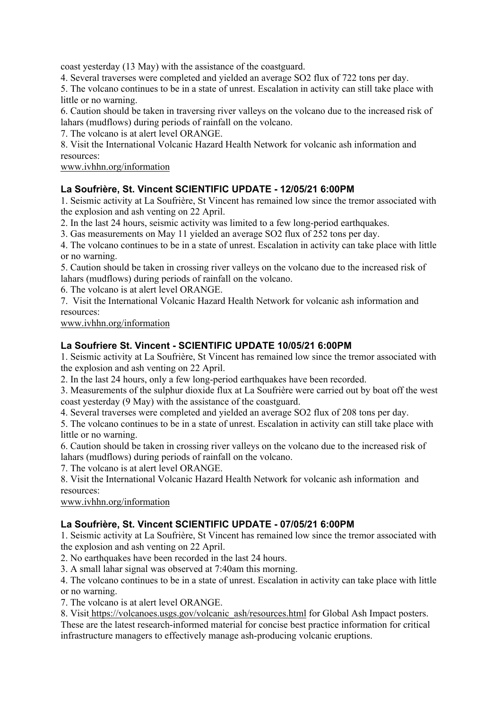coast yesterday (13 May) with the assistance of the coastguard.

4. Several traverses were completed and yielded an average SO2 flux of 722 tons per day.

5. The volcano continues to be in a state of unrest. Escalation in activity can still take place with little or no warning.

6. Caution should be taken in traversing river valleys on the volcano due to the increased risk of lahars (mudflows) during periods of rainfall on the volcano.

7. The volcano is at alert level ORANGE.

8. Visit the International Volcanic Hazard Health Network for volcanic ash information and resources:

www.ivhhn.org/information

# **La Soufrière, St. Vincent SCIENTIFIC UPDATE - 12/05/21 6:00PM**

1. Seismic activity at La Soufrière, St Vincent has remained low since the tremor associated with the explosion and ash venting on 22 April.

2. In the last 24 hours, seismic activity was limited to a few long-period earthquakes.

3. Gas measurements on May 11 yielded an average SO2 flux of 252 tons per day.

4. The volcano continues to be in a state of unrest. Escalation in activity can take place with little or no warning.

5. Caution should be taken in crossing river valleys on the volcano due to the increased risk of lahars (mudflows) during periods of rainfall on the volcano.

6. The volcano is at alert level ORANGE.

7. Visit the International Volcanic Hazard Health Network for volcanic ash information and resources:

www.ivhhn.org/information

# **La Soufriere St. Vincent - SCIENTIFIC UPDATE 10/05/21 6:00PM**

1. Seismic activity at La Soufrière, St Vincent has remained low since the tremor associated with the explosion and ash venting on 22 April.

2. In the last 24 hours, only a few long-period earthquakes have been recorded.

3. Measurements of the sulphur dioxide flux at La Soufrière were carried out by boat off the west coast yesterday (9 May) with the assistance of the coastguard.

4. Several traverses were completed and yielded an average SO2 flux of 208 tons per day.

5. The volcano continues to be in a state of unrest. Escalation in activity can still take place with little or no warning.

6. Caution should be taken in crossing river valleys on the volcano due to the increased risk of lahars (mudflows) during periods of rainfall on the volcano.

7. The volcano is at alert level ORANGE.

8. Visit the International Volcanic Hazard Health Network for volcanic ash information and resources:

www.ivhhn.org/information

# **La Soufrière, St. Vincent SCIENTIFIC UPDATE - 07/05/21 6:00PM**

1. Seismic activity at La Soufrière, St Vincent has remained low since the tremor associated with the explosion and ash venting on 22 April.

2. No earthquakes have been recorded in the last 24 hours.

3. A small lahar signal was observed at 7:40am this morning.

4. The volcano continues to be in a state of unrest. Escalation in activity can take place with little or no warning.

7. The volcano is at alert level ORANGE.

8. Visit https://volcanoes.usgs.gov/volcanic\_ash/resources.html for Global Ash Impact posters.

These are the latest research-informed material for concise best practice information for critical infrastructure managers to effectively manage ash-producing volcanic eruptions.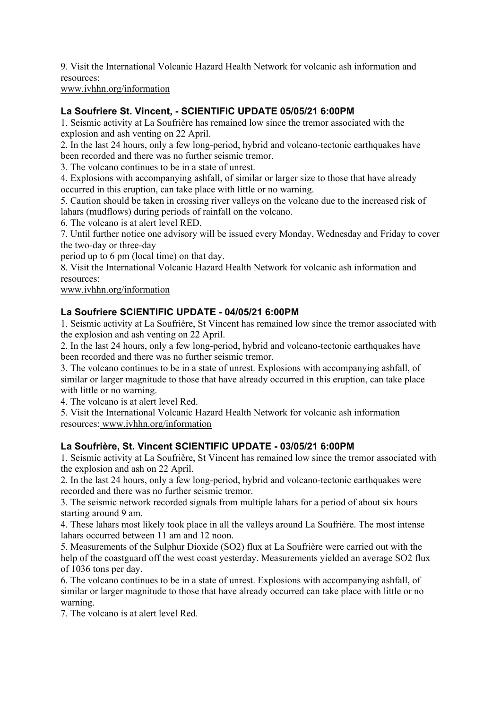9. Visit the International Volcanic Hazard Health Network for volcanic ash information and resources:

www.ivhhn.org/information

## **La Soufriere St. Vincent, - SCIENTIFIC UPDATE 05/05/21 6:00PM**

1. Seismic activity at La Soufrière has remained low since the tremor associated with the explosion and ash venting on 22 April.

2. In the last 24 hours, only a few long-period, hybrid and volcano-tectonic earthquakes have been recorded and there was no further seismic tremor.

3. The volcano continues to be in a state of unrest.

4. Explosions with accompanying ashfall, of similar or larger size to those that have already occurred in this eruption, can take place with little or no warning.

5. Caution should be taken in crossing river valleys on the volcano due to the increased risk of lahars (mudflows) during periods of rainfall on the volcano.

6. The volcano is at alert level RED.

7. Until further notice one advisory will be issued every Monday, Wednesday and Friday to cover the two-day or three-day

period up to 6 pm (local time) on that day.

8. Visit the International Volcanic Hazard Health Network for volcanic ash information and resources:

www.ivhhn.org/information

## **La Soufriere SCIENTIFIC UPDATE - 04/05/21 6:00PM**

1. Seismic activity at La Soufrière, St Vincent has remained low since the tremor associated with the explosion and ash venting on 22 April.

2. In the last 24 hours, only a few long-period, hybrid and volcano-tectonic earthquakes have been recorded and there was no further seismic tremor.

3. The volcano continues to be in a state of unrest. Explosions with accompanying ashfall, of similar or larger magnitude to those that have already occurred in this eruption, can take place with little or no warning.

4. The volcano is at alert level Red.

5. Visit the International Volcanic Hazard Health Network for volcanic ash information resources: www.ivhhn.org/information

#### **La Soufrière, St. Vincent SCIENTIFIC UPDATE - 03/05/21 6:00PM**

1. Seismic activity at La Soufrière, St Vincent has remained low since the tremor associated with the explosion and ash on 22 April.

2. In the last 24 hours, only a few long-period, hybrid and volcano-tectonic earthquakes were recorded and there was no further seismic tremor.

3. The seismic network recorded signals from multiple lahars for a period of about six hours starting around 9 am.

4. These lahars most likely took place in all the valleys around La Soufrière. The most intense lahars occurred between 11 am and 12 noon.

5. Measurements of the Sulphur Dioxide (SO2) flux at La Soufrière were carried out with the help of the coastguard off the west coast yesterday. Measurements yielded an average SO2 flux of 1036 tons per day.

6. The volcano continues to be in a state of unrest. Explosions with accompanying ashfall, of similar or larger magnitude to those that have already occurred can take place with little or no warning.

7. The volcano is at alert level Red.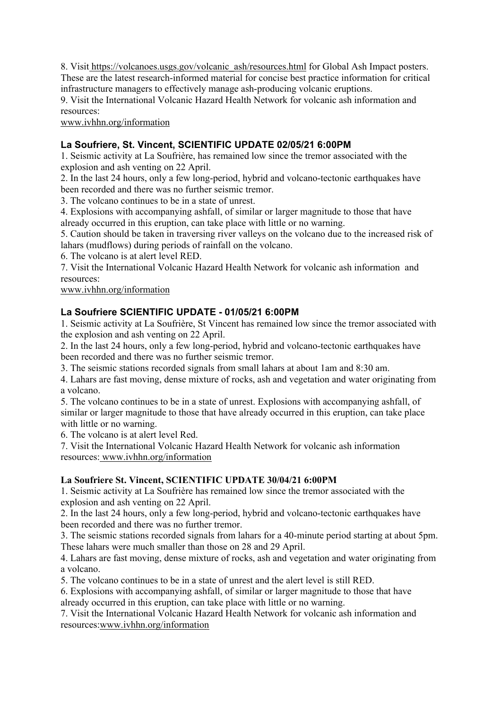8. Visit https://volcanoes.usgs.gov/volcanic\_ash/resources.html for Global Ash Impact posters. These are the latest research-informed material for concise best practice information for critical infrastructure managers to effectively manage ash-producing volcanic eruptions.

9. Visit the International Volcanic Hazard Health Network for volcanic ash information and resources:

www.ivhhn.org/information

# **La Soufriere, St. Vincent, SCIENTIFIC UPDATE 02/05/21 6:00PM**

1. Seismic activity at La Soufrière, has remained low since the tremor associated with the explosion and ash venting on 22 April.

2. In the last 24 hours, only a few long-period, hybrid and volcano-tectonic earthquakes have been recorded and there was no further seismic tremor.

3. The volcano continues to be in a state of unrest.

4. Explosions with accompanying ashfall, of similar or larger magnitude to those that have already occurred in this eruption, can take place with little or no warning.

5. Caution should be taken in traversing river valleys on the volcano due to the increased risk of lahars (mudflows) during periods of rainfall on the volcano.

6. The volcano is at alert level RED.

7. Visit the International Volcanic Hazard Health Network for volcanic ash information and resources:

www.ivhhn.org/information

# **La Soufriere SCIENTIFIC UPDATE - 01/05/21 6:00PM**

1. Seismic activity at La Soufrière, St Vincent has remained low since the tremor associated with the explosion and ash venting on 22 April.

2. In the last 24 hours, only a few long-period, hybrid and volcano-tectonic earthquakes have been recorded and there was no further seismic tremor.

3. The seismic stations recorded signals from small lahars at about 1am and 8:30 am.

4. Lahars are fast moving, dense mixture of rocks, ash and vegetation and water originating from a volcano.

5. The volcano continues to be in a state of unrest. Explosions with accompanying ashfall, of similar or larger magnitude to those that have already occurred in this eruption, can take place with little or no warning.

6. The volcano is at alert level Red.

7. Visit the International Volcanic Hazard Health Network for volcanic ash information resources: www.ivhhn.org/information

# **La Soufriere St. Vincent, SCIENTIFIC UPDATE 30/04/21 6:00PM**

1. Seismic activity at La Soufrière has remained low since the tremor associated with the explosion and ash venting on 22 April.

2. In the last 24 hours, only a few long-period, hybrid and volcano-tectonic earthquakes have been recorded and there was no further tremor.

3. The seismic stations recorded signals from lahars for a 40-minute period starting at about 5pm. These lahars were much smaller than those on 28 and 29 April.

4. Lahars are fast moving, dense mixture of rocks, ash and vegetation and water originating from a volcano.

5. The volcano continues to be in a state of unrest and the alert level is still RED.

6. Explosions with accompanying ashfall, of similar or larger magnitude to those that have already occurred in this eruption, can take place with little or no warning.

7. Visit the International Volcanic Hazard Health Network for volcanic ash information and resources:www.ivhhn.org/information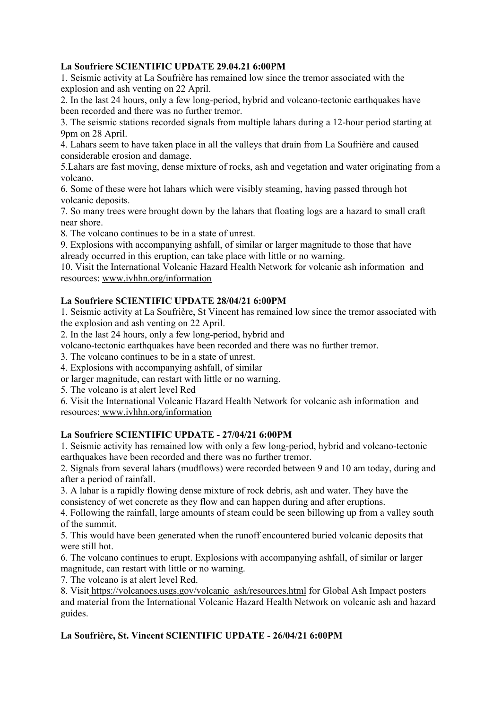## **La Soufriere SCIENTIFIC UPDATE 29.04.21 6:00PM**

1. Seismic activity at La Soufrière has remained low since the tremor associated with the explosion and ash venting on 22 April.

2. In the last 24 hours, only a few long-period, hybrid and volcano-tectonic earthquakes have been recorded and there was no further tremor.

3. The seismic stations recorded signals from multiple lahars during a 12-hour period starting at 9pm on 28 April.

4. Lahars seem to have taken place in all the valleys that drain from La Soufrière and caused considerable erosion and damage.

5.Lahars are fast moving, dense mixture of rocks, ash and vegetation and water originating from a volcano.

6. Some of these were hot lahars which were visibly steaming, having passed through hot volcanic deposits.

7. So many trees were brought down by the lahars that floating logs are a hazard to small craft near shore.

8. The volcano continues to be in a state of unrest.

9. Explosions with accompanying ashfall, of similar or larger magnitude to those that have already occurred in this eruption, can take place with little or no warning.

10. Visit the International Volcanic Hazard Health Network for volcanic ash information and resources: www.ivhhn.org/information

## **La Soufriere SCIENTIFIC UPDATE 28/04/21 6:00PM**

1. Seismic activity at La Soufrière, St Vincent has remained low since the tremor associated with the explosion and ash venting on 22 April.

2. In the last 24 hours, only a few long-period, hybrid and

volcano-tectonic earthquakes have been recorded and there was no further tremor.

3. The volcano continues to be in a state of unrest.

4. Explosions with accompanying ashfall, of similar

or larger magnitude, can restart with little or no warning.

5. The volcano is at alert level Red

6. Visit the International Volcanic Hazard Health Network for volcanic ash information and resources: www.ivhhn.org/information

#### **La Soufriere SCIENTIFIC UPDATE - 27/04/21 6:00PM**

1. Seismic activity has remained low with only a few long-period, hybrid and volcano-tectonic earthquakes have been recorded and there was no further tremor.

2. Signals from several lahars (mudflows) were recorded between 9 and 10 am today, during and after a period of rainfall.

3. A lahar is a rapidly flowing dense mixture of rock debris, ash and water. They have the consistency of wet concrete as they flow and can happen during and after eruptions.

4. Following the rainfall, large amounts of steam could be seen billowing up from a valley south of the summit.

5. This would have been generated when the runoff encountered buried volcanic deposits that were still hot.

6. The volcano continues to erupt. Explosions with accompanying ashfall, of similar or larger magnitude, can restart with little or no warning.

7. The volcano is at alert level Red.

8. Visit https://volcanoes.usgs.gov/volcanic\_ash/resources.html for Global Ash Impact posters and material from the International Volcanic Hazard Health Network on volcanic ash and hazard guides.

# **La Soufrière, St. Vincent SCIENTIFIC UPDATE - 26/04/21 6:00PM**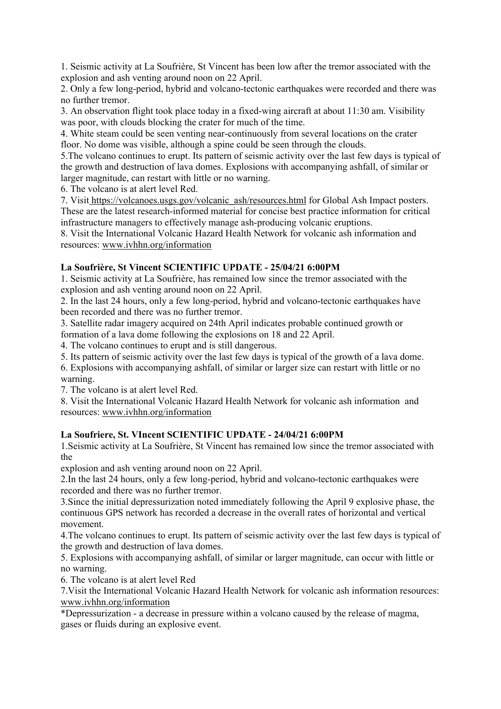1. Seismic activity at La Soufrière, St Vincent has been low after the tremor associated with the explosion and ash venting around noon on 22 April.

2. Only a few long-period, hybrid and volcano-tectonic earthquakes were recorded and there was no further tremor.

3. An observation flight took place today in a fixed-wing aircraft at about 11:30 am. Visibility was poor, with clouds blocking the crater for much of the time.

4. White steam could be seen venting near-continuously from several locations on the crater floor. No dome was visible, although a spine could be seen through the clouds.

5.The volcano continues to erupt. Its pattern of seismic activity over the last few days is typical of the growth and destruction of lava domes. Explosions with accompanying ashfall, of similar or larger magnitude, can restart with little or no warning.

6. The volcano is at alert level Red.

7. Visit https://volcanoes.usgs.gov/volcanic\_ash/resources.html for Global Ash Impact posters. These are the latest research-informed material for concise best practice information for critical infrastructure managers to effectively manage ash-producing volcanic eruptions.

8. Visit the International Volcanic Hazard Health Network for volcanic ash information and resources: www.ivhhn.org/information

## **La Soufrière, St Vincent SCIENTIFIC UPDATE - 25/04/21 6:00PM**

1. Seismic activity at La Soufrière, has remained low since the tremor associated with the explosion and ash venting around noon on 22 April.

2. In the last 24 hours, only a few long-period, hybrid and volcano-tectonic earthquakes have been recorded and there was no further tremor.

3. Satellite radar imagery acquired on 24th April indicates probable continued growth or formation of a lava dome following the explosions on 18 and 22 April.

4. The volcano continues to erupt and is still dangerous.

5. Its pattern of seismic activity over the last few days is typical of the growth of a lava dome.

6. Explosions with accompanying ashfall, of similar or larger size can restart with little or no warning.

7. The volcano is at alert level Red.

8. Visit the International Volcanic Hazard Health Network for volcanic ash information and resources: www.ivhhn.org/information

# **La Soufriere, St. VIncent SCIENTIFIC UPDATE - 24/04/21 6:00PM**

1.Seismic activity at La Soufrière, St Vincent has remained low since the tremor associated with the

explosion and ash venting around noon on 22 April.

2.In the last 24 hours, only a few long-period, hybrid and volcano-tectonic earthquakes were recorded and there was no further tremor.

3.Since the initial depressurization noted immediately following the April 9 explosive phase, the continuous GPS network has recorded a decrease in the overall rates of horizontal and vertical movement.

4.The volcano continues to erupt. Its pattern of seismic activity over the last few days is typical of the growth and destruction of lava domes.

5. Explosions with accompanying ashfall, of similar or larger magnitude, can occur with little or no warning.

6. The volcano is at alert level Red

7.Visit the International Volcanic Hazard Health Network for volcanic ash information resources: www.ivhhn.org/information

\*Depressurization - a decrease in pressure within a volcano caused by the release of magma, gases or fluids during an explosive event.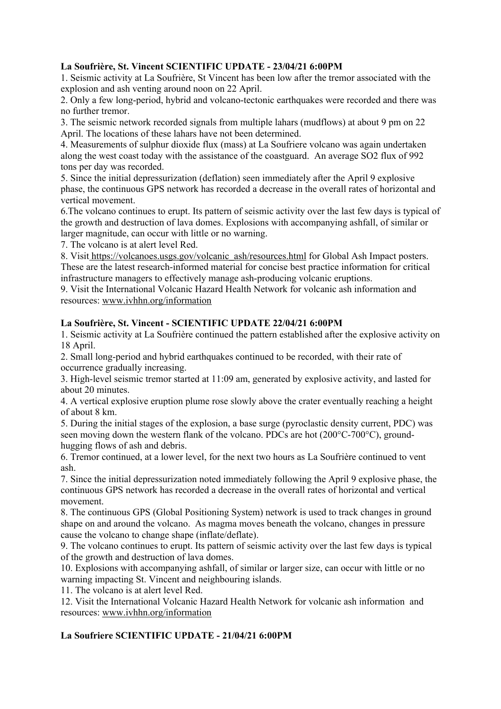## **La Soufrière, St. Vincent SCIENTIFIC UPDATE - 23/04/21 6:00PM**

1. Seismic activity at La Soufrière, St Vincent has been low after the tremor associated with the explosion and ash venting around noon on 22 April.

2. Only a few long-period, hybrid and volcano-tectonic earthquakes were recorded and there was no further tremor.

3. The seismic network recorded signals from multiple lahars (mudflows) at about 9 pm on 22 April. The locations of these lahars have not been determined.

4. Measurements of sulphur dioxide flux (mass) at La Soufriere volcano was again undertaken along the west coast today with the assistance of the coastguard. An average SO2 flux of 992 tons per day was recorded.

5. Since the initial depressurization (deflation) seen immediately after the April 9 explosive phase, the continuous GPS network has recorded a decrease in the overall rates of horizontal and vertical movement.

6.The volcano continues to erupt. Its pattern of seismic activity over the last few days is typical of the growth and destruction of lava domes. Explosions with accompanying ashfall, of similar or larger magnitude, can occur with little or no warning.

7. The volcano is at alert level Red.

8. Visit https://volcanoes.usgs.gov/volcanic\_ash/resources.html for Global Ash Impact posters. These are the latest research-informed material for concise best practice information for critical infrastructure managers to effectively manage ash-producing volcanic eruptions.

9. Visit the International Volcanic Hazard Health Network for volcanic ash information and resources: www.ivhhn.org/information

## **La Soufrière, St. Vincent - SCIENTIFIC UPDATE 22/04/21 6:00PM**

1. Seismic activity at La Soufrière continued the pattern established after the explosive activity on 18 April.

2. Small long-period and hybrid earthquakes continued to be recorded, with their rate of occurrence gradually increasing.

3. High-level seismic tremor started at 11:09 am, generated by explosive activity, and lasted for about 20 minutes.

4. A vertical explosive eruption plume rose slowly above the crater eventually reaching a height of about 8 km.

5. During the initial stages of the explosion, a base surge (pyroclastic density current, PDC) was seen moving down the western flank of the volcano. PDCs are hot (200°C-700°C), groundhugging flows of ash and debris.

6. Tremor continued, at a lower level, for the next two hours as La Soufrière continued to vent ash.

7. Since the initial depressurization noted immediately following the April 9 explosive phase, the continuous GPS network has recorded a decrease in the overall rates of horizontal and vertical movement.

8. The continuous GPS (Global Positioning System) network is used to track changes in ground shape on and around the volcano. As magma moves beneath the volcano, changes in pressure cause the volcano to change shape (inflate/deflate).

9. The volcano continues to erupt. Its pattern of seismic activity over the last few days is typical of the growth and destruction of lava domes.

10. Explosions with accompanying ashfall, of similar or larger size, can occur with little or no warning impacting St. Vincent and neighbouring islands.

11. The volcano is at alert level Red.

12. Visit the International Volcanic Hazard Health Network for volcanic ash information and resources: www.ivhhn.org/information

# **La Soufriere SCIENTIFIC UPDATE - 21/04/21 6:00PM**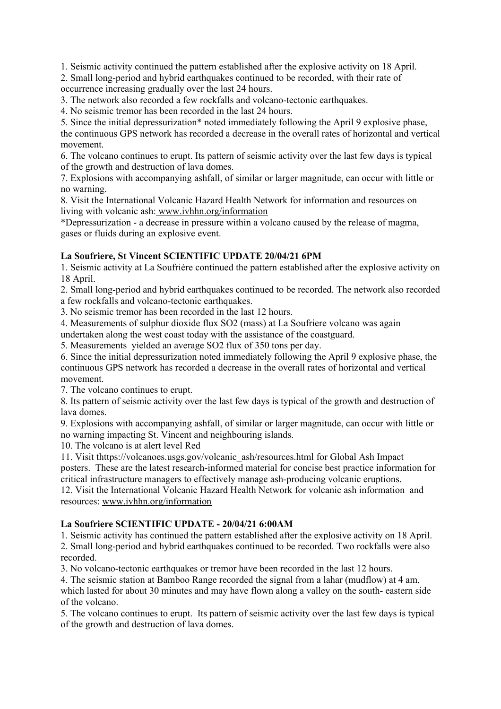1. Seismic activity continued the pattern established after the explosive activity on 18 April.

2. Small long-period and hybrid earthquakes continued to be recorded, with their rate of occurrence increasing gradually over the last 24 hours.

3. The network also recorded a few rockfalls and volcano-tectonic earthquakes.

4. No seismic tremor has been recorded in the last 24 hours.

5. Since the initial depressurization\* noted immediately following the April 9 explosive phase, the continuous GPS network has recorded a decrease in the overall rates of horizontal and vertical movement.

6. The volcano continues to erupt. Its pattern of seismic activity over the last few days is typical of the growth and destruction of lava domes.

7. Explosions with accompanying ashfall, of similar or larger magnitude, can occur with little or no warning.

8. Visit the International Volcanic Hazard Health Network for information and resources on living with volcanic ash: www.ivhhn.org/information

\*Depressurization - a decrease in pressure within a volcano caused by the release of magma, gases or fluids during an explosive event.

## **La Soufriere, St Vincent SCIENTIFIC UPDATE 20/04/21 6PM**

1. Seismic activity at La Soufrière continued the pattern established after the explosive activity on 18 April.

2. Small long-period and hybrid earthquakes continued to be recorded. The network also recorded a few rockfalls and volcano-tectonic earthquakes.

3. No seismic tremor has been recorded in the last 12 hours.

4. Measurements of sulphur dioxide flux SO2 (mass) at La Soufriere volcano was again

undertaken along the west coast today with the assistance of the coastguard.

5. Measurements yielded an average SO2 flux of 350 tons per day.

6. Since the initial depressurization noted immediately following the April 9 explosive phase, the continuous GPS network has recorded a decrease in the overall rates of horizontal and vertical movement.

7. The volcano continues to erupt.

8. Its pattern of seismic activity over the last few days is typical of the growth and destruction of lava domes.

9. Explosions with accompanying ashfall, of similar or larger magnitude, can occur with little or no warning impacting St. Vincent and neighbouring islands.

10. The volcano is at alert level Red

11. Visit thttps://volcanoes.usgs.gov/volcanic\_ash/resources.html for Global Ash Impact posters. These are the latest research-informed material for concise best practice information for critical infrastructure managers to effectively manage ash-producing volcanic eruptions.

12. Visit the International Volcanic Hazard Health Network for volcanic ash information and resources: www.ivhhn.org/information

#### **La Soufriere SCIENTIFIC UPDATE - 20/04/21 6:00AM**

1. Seismic activity has continued the pattern established after the explosive activity on 18 April. 2. Small long-period and hybrid earthquakes continued to be recorded. Two rockfalls were also recorded.

3. No volcano-tectonic earthquakes or tremor have been recorded in the last 12 hours.

4. The seismic station at Bamboo Range recorded the signal from a lahar (mudflow) at 4 am, which lasted for about 30 minutes and may have flown along a valley on the south- eastern side of the volcano.

5. The volcano continues to erupt. Its pattern of seismic activity over the last few days is typical of the growth and destruction of lava domes.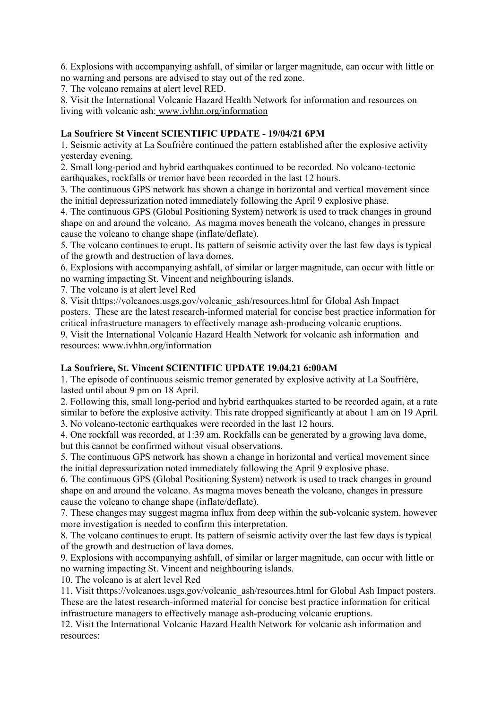6. Explosions with accompanying ashfall, of similar or larger magnitude, can occur with little or no warning and persons are advised to stay out of the red zone.

7. The volcano remains at alert level RED.

8. Visit the International Volcanic Hazard Health Network for information and resources on living with volcanic ash: www.ivhhn.org/information

## **La Soufriere St Vincent SCIENTIFIC UPDATE - 19/04/21 6PM**

1. Seismic activity at La Soufrière continued the pattern established after the explosive activity yesterday evening.

2. Small long-period and hybrid earthquakes continued to be recorded. No volcano-tectonic earthquakes, rockfalls or tremor have been recorded in the last 12 hours.

3. The continuous GPS network has shown a change in horizontal and vertical movement since the initial depressurization noted immediately following the April 9 explosive phase.

4. The continuous GPS (Global Positioning System) network is used to track changes in ground shape on and around the volcano. As magma moves beneath the volcano, changes in pressure cause the volcano to change shape (inflate/deflate).

5. The volcano continues to erupt. Its pattern of seismic activity over the last few days is typical of the growth and destruction of lava domes.

6. Explosions with accompanying ashfall, of similar or larger magnitude, can occur with little or no warning impacting St. Vincent and neighbouring islands.

7. The volcano is at alert level Red

8. Visit thttps://volcanoes.usgs.gov/volcanic\_ash/resources.html for Global Ash Impact posters. These are the latest research-informed material for concise best practice information for critical infrastructure managers to effectively manage ash-producing volcanic eruptions.

9. Visit the International Volcanic Hazard Health Network for volcanic ash information and resources: www.ivhhn.org/information

#### **La Soufriere, St. Vincent SCIENTIFIC UPDATE 19.04.21 6:00AM**

1. The episode of continuous seismic tremor generated by explosive activity at La Soufrière, lasted until about 9 pm on 18 April.

2. Following this, small long-period and hybrid earthquakes started to be recorded again, at a rate similar to before the explosive activity. This rate dropped significantly at about 1 am on 19 April. 3. No volcano-tectonic earthquakes were recorded in the last 12 hours.

4. One rockfall was recorded, at 1:39 am. Rockfalls can be generated by a growing lava dome, but this cannot be confirmed without visual observations.

5. The continuous GPS network has shown a change in horizontal and vertical movement since the initial depressurization noted immediately following the April 9 explosive phase.

6. The continuous GPS (Global Positioning System) network is used to track changes in ground shape on and around the volcano. As magma moves beneath the volcano, changes in pressure cause the volcano to change shape (inflate/deflate).

7. These changes may suggest magma influx from deep within the sub-volcanic system, however more investigation is needed to confirm this interpretation.

8. The volcano continues to erupt. Its pattern of seismic activity over the last few days is typical of the growth and destruction of lava domes.

9. Explosions with accompanying ashfall, of similar or larger magnitude, can occur with little or no warning impacting St. Vincent and neighbouring islands.

10. The volcano is at alert level Red

11. Visit thttps://volcanoes.usgs.gov/volcanic\_ash/resources.html for Global Ash Impact posters. These are the latest research-informed material for concise best practice information for critical infrastructure managers to effectively manage ash-producing volcanic eruptions.

12. Visit the International Volcanic Hazard Health Network for volcanic ash information and resources: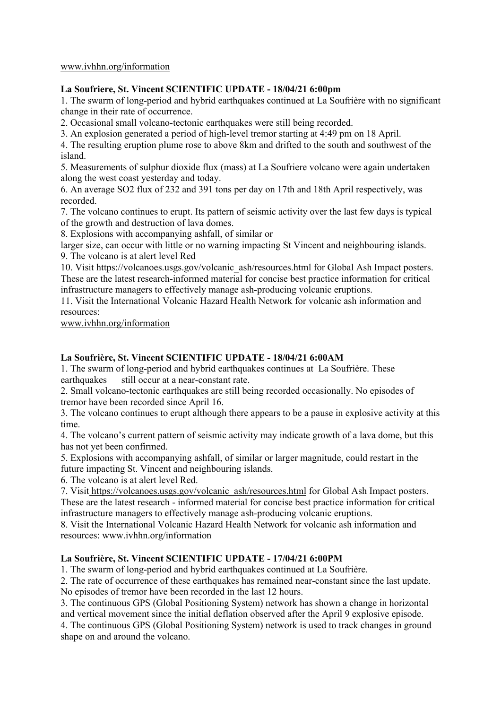#### www.ivhhn.org/information

#### **La Soufriere, St. Vincent SCIENTIFIC UPDATE - 18/04/21 6:00pm**

1. The swarm of long-period and hybrid earthquakes continued at La Soufrière with no significant change in their rate of occurrence.

2. Occasional small volcano-tectonic earthquakes were still being recorded.

3. An explosion generated a period of high-level tremor starting at 4:49 pm on 18 April.

4. The resulting eruption plume rose to above 8km and drifted to the south and southwest of the island.

5. Measurements of sulphur dioxide flux (mass) at La Soufriere volcano were again undertaken along the west coast yesterday and today.

6. An average SO2 flux of 232 and 391 tons per day on 17th and 18th April respectively, was recorded.

7. The volcano continues to erupt. Its pattern of seismic activity over the last few days is typical of the growth and destruction of lava domes.

8. Explosions with accompanying ashfall, of similar or

larger size, can occur with little or no warning impacting St Vincent and neighbouring islands. 9. The volcano is at alert level Red

10. Visit https://volcanoes.usgs.gov/volcanic\_ash/resources.html for Global Ash Impact posters. These are the latest research-informed material for concise best practice information for critical infrastructure managers to effectively manage ash-producing volcanic eruptions.

11. Visit the International Volcanic Hazard Health Network for volcanic ash information and resources:

www.ivhhn.org/information

#### **La Soufrière, St. Vincent SCIENTIFIC UPDATE - 18/04/21 6:00AM**

1. The swarm of long-period and hybrid earthquakes continues at La Soufrière. These earthquakes still occur at a near-constant rate.

2. Small volcano-tectonic earthquakes are still being recorded occasionally. No episodes of tremor have been recorded since April 16.

3. The volcano continues to erupt although there appears to be a pause in explosive activity at this time.

4. The volcano's current pattern of seismic activity may indicate growth of a lava dome, but this has not yet been confirmed.

5. Explosions with accompanying ashfall, of similar or larger magnitude, could restart in the future impacting St. Vincent and neighbouring islands.

6. The volcano is at alert level Red.

7. Visit https://volcanoes.usgs.gov/volcanic\_ash/resources.html for Global Ash Impact posters. These are the latest research - informed material for concise best practice information for critical infrastructure managers to effectively manage ash-producing volcanic eruptions.

8. Visit the International Volcanic Hazard Health Network for volcanic ash information and resources: www.ivhhn.org/information

#### **La Soufrière, St. Vincent SCIENTIFIC UPDATE - 17/04/21 6:00PM**

1. The swarm of long-period and hybrid earthquakes continued at La Soufrière.

2. The rate of occurrence of these earthquakes has remained near-constant since the last update. No episodes of tremor have been recorded in the last 12 hours.

3. The continuous GPS (Global Positioning System) network has shown a change in horizontal and vertical movement since the initial deflation observed after the April 9 explosive episode.

4. The continuous GPS (Global Positioning System) network is used to track changes in ground shape on and around the volcano.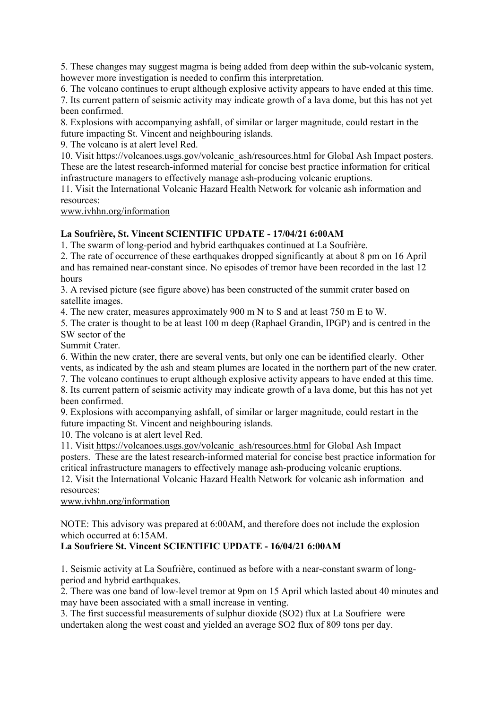5. These changes may suggest magma is being added from deep within the sub-volcanic system, however more investigation is needed to confirm this interpretation.

6. The volcano continues to erupt although explosive activity appears to have ended at this time. 7. Its current pattern of seismic activity may indicate growth of a lava dome, but this has not yet been confirmed.

8. Explosions with accompanying ashfall, of similar or larger magnitude, could restart in the future impacting St. Vincent and neighbouring islands.

9. The volcano is at alert level Red.

10. Visit https://volcanoes.usgs.gov/volcanic\_ash/resources.html for Global Ash Impact posters. These are the latest research-informed material for concise best practice information for critical infrastructure managers to effectively manage ash-producing volcanic eruptions.

11. Visit the International Volcanic Hazard Health Network for volcanic ash information and resources:

www.ivhhn.org/information

#### **La Soufrière, St. Vincent SCIENTIFIC UPDATE - 17/04/21 6:00AM**

1. The swarm of long-period and hybrid earthquakes continued at La Soufrière.

2. The rate of occurrence of these earthquakes dropped significantly at about 8 pm on 16 April and has remained near-constant since. No episodes of tremor have been recorded in the last 12 hours

3. A revised picture (see figure above) has been constructed of the summit crater based on satellite images.

4. The new crater, measures approximately 900 m N to S and at least 750 m E to W.

5. The crater is thought to be at least 100 m deep (Raphael Grandin, IPGP) and is centred in the SW sector of the

Summit Crater.

6. Within the new crater, there are several vents, but only one can be identified clearly. Other vents, as indicated by the ash and steam plumes are located in the northern part of the new crater. 7. The volcano continues to erupt although explosive activity appears to have ended at this time.

8. Its current pattern of seismic activity may indicate growth of a lava dome, but this has not yet been confirmed.

9. Explosions with accompanying ashfall, of similar or larger magnitude, could restart in the future impacting St. Vincent and neighbouring islands.

10. The volcano is at alert level Red.

11. Visit https://volcanoes.usgs.gov/volcanic\_ash/resources.html for Global Ash Impact posters. These are the latest research-informed material for concise best practice information for critical infrastructure managers to effectively manage ash-producing volcanic eruptions.

12. Visit the International Volcanic Hazard Health Network for volcanic ash information and resources:

www.ivhhn.org/information

NOTE: This advisory was prepared at 6:00AM, and therefore does not include the explosion which occurred at 6:15AM.

#### **La Soufriere St. Vincent SCIENTIFIC UPDATE - 16/04/21 6:00AM**

1. Seismic activity at La Soufrière, continued as before with a near-constant swarm of longperiod and hybrid earthquakes.

2. There was one band of low-level tremor at 9pm on 15 April which lasted about 40 minutes and may have been associated with a small increase in venting.

3. The first successful measurements of sulphur dioxide (SO2) flux at La Soufriere were undertaken along the west coast and yielded an average SO2 flux of 809 tons per day.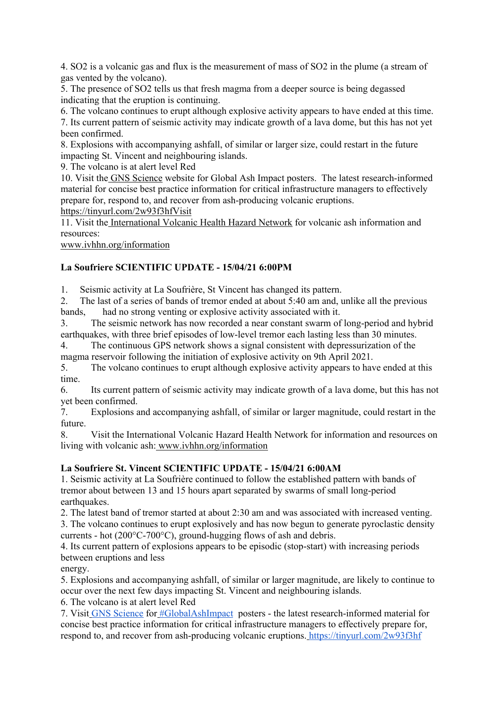4. SO2 is a volcanic gas and flux is the measurement of mass of SO2 in the plume (a stream of gas vented by the volcano).

5. The presence of SO2 tells us that fresh magma from a deeper source is being degassed indicating that the eruption is continuing.

6. The volcano continues to erupt although explosive activity appears to have ended at this time.

7. Its current pattern of seismic activity may indicate growth of a lava dome, but this has not yet been confirmed.

8. Explosions with accompanying ashfall, of similar or larger size, could restart in the future impacting St. Vincent and neighbouring islands.

9. The volcano is at alert level Red

10. Visit the GNS Science website for Global Ash Impact posters. The latest research-informed material for concise best practice information for critical infrastructure managers to effectively prepare for, respond to, and recover from ash-producing volcanic eruptions.

https://tinyurl.com/2w93f3hfVisit

11. Visit the International Volcanic Health Hazard Network for volcanic ash information and resources:

www.ivhhn.org/information

## **La Soufriere SCIENTIFIC UPDATE - 15/04/21 6:00PM**

1. Seismic activity at La Soufrière, St Vincent has changed its pattern.

2. The last of a series of bands of tremor ended at about 5:40 am and, unlike all the previous bands, had no strong venting or explosive activity associated with it.

3. The seismic network has now recorded a near constant swarm of long-period and hybrid earthquakes, with three brief episodes of low-level tremor each lasting less than 30 minutes.

4. The continuous GPS network shows a signal consistent with depressurization of the magma reservoir following the initiation of explosive activity on 9th April 2021.

5. The volcano continues to erupt although explosive activity appears to have ended at this time.

6. Its current pattern of seismic activity may indicate growth of a lava dome, but this has not yet been confirmed.

7. Explosions and accompanying ashfall, of similar or larger magnitude, could restart in the future.

8. Visit the International Volcanic Hazard Health Network for information and resources on living with volcanic ash: www.ivhhn.org/information

# **La Soufriere St. Vincent SCIENTIFIC UPDATE - 15/04/21 6:00AM**

1. Seismic activity at La Soufrière continued to follow the established pattern with bands of tremor about between 13 and 15 hours apart separated by swarms of small long-period earthquakes.

2. The latest band of tremor started at about 2:30 am and was associated with increased venting.

3. The volcano continues to erupt explosively and has now begun to generate pyroclastic density currents - hot (200°C-700°C), ground-hugging flows of ash and debris.

4. Its current pattern of explosions appears to be episodic (stop-start) with increasing periods between eruptions and less

energy.

5. Explosions and accompanying ashfall, of similar or larger magnitude, are likely to continue to occur over the next few days impacting St. Vincent and neighbouring islands.

6. The volcano is at alert level Red

7. Visit GNS Science for #GlobalAshImpact posters - the latest research-informed material for concise best practice information for critical infrastructure managers to effectively prepare for, respond to, and recover from ash-producing volcanic eruptions. https://tinyurl.com/2w93f3hf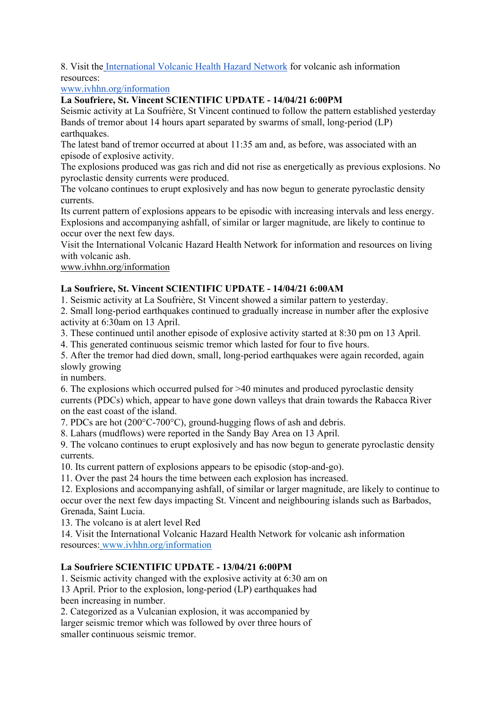8. Visit the International Volcanic Health Hazard Network for volcanic ash information resources:

www.ivhhn.org/information

# **La Soufriere, St. Vincent SCIENTIFIC UPDATE - 14/04/21 6:00PM**

Seismic activity at La Soufrière, St Vincent continued to follow the pattern established yesterday Bands of tremor about 14 hours apart separated by swarms of small, long-period (LP) earthquakes.

The latest band of tremor occurred at about 11:35 am and, as before, was associated with an episode of explosive activity.

The explosions produced was gas rich and did not rise as energetically as previous explosions. No pyroclastic density currents were produced.

The volcano continues to erupt explosively and has now begun to generate pyroclastic density currents.

Its current pattern of explosions appears to be episodic with increasing intervals and less energy. Explosions and accompanying ashfall, of similar or larger magnitude, are likely to continue to occur over the next few days.

Visit the International Volcanic Hazard Health Network for information and resources on living with volcanic ash.

www.ivhhn.org/information

# **La Soufriere, St. Vincent SCIENTIFIC UPDATE - 14/04/21 6:00AM**

1. Seismic activity at La Soufrière, St Vincent showed a similar pattern to yesterday.

2. Small long-period earthquakes continued to gradually increase in number after the explosive activity at 6:30am on 13 April.

3. These continued until another episode of explosive activity started at 8:30 pm on 13 April.

4. This generated continuous seismic tremor which lasted for four to five hours.

5. After the tremor had died down, small, long-period earthquakes were again recorded, again slowly growing

in numbers.

6. The explosions which occurred pulsed for >40 minutes and produced pyroclastic density currents (PDCs) which, appear to have gone down valleys that drain towards the Rabacca River on the east coast of the island.

7. PDCs are hot (200°C-700°C), ground-hugging flows of ash and debris.

8. Lahars (mudflows) were reported in the Sandy Bay Area on 13 April.

9. The volcano continues to erupt explosively and has now begun to generate pyroclastic density currents.

10. Its current pattern of explosions appears to be episodic (stop-and-go).

11. Over the past 24 hours the time between each explosion has increased.

12. Explosions and accompanying ashfall, of similar or larger magnitude, are likely to continue to occur over the next few days impacting St. Vincent and neighbouring islands such as Barbados, Grenada, Saint Lucia.

13. The volcano is at alert level Red

14. Visit the International Volcanic Hazard Health Network for volcanic ash information resources: www.ivhhn.org/information

# **La Soufriere SCIENTIFIC UPDATE - 13/04/21 6:00PM**

1. Seismic activity changed with the explosive activity at 6:30 am on 13 April. Prior to the explosion, long-period (LP) earthquakes had been increasing in number.

2. Categorized as a Vulcanian explosion, it was accompanied by larger seismic tremor which was followed by over three hours of smaller continuous seismic tremor.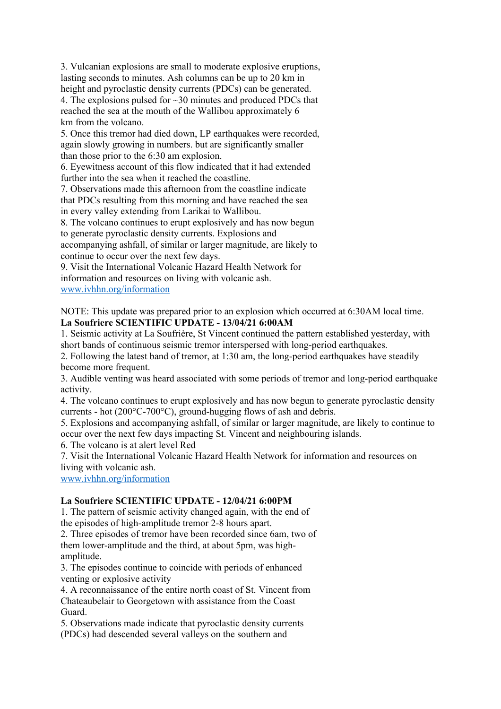3. Vulcanian explosions are small to moderate explosive eruptions, lasting seconds to minutes. Ash columns can be up to 20 km in height and pyroclastic density currents (PDCs) can be generated. 4. The explosions pulsed for ~30 minutes and produced PDCs that reached the sea at the mouth of the Wallibou approximately 6 km from the volcano.

5. Once this tremor had died down, LP earthquakes were recorded, again slowly growing in numbers. but are significantly smaller than those prior to the 6:30 am explosion.

6. Eyewitness account of this flow indicated that it had extended further into the sea when it reached the coastline.

7. Observations made this afternoon from the coastline indicate that PDCs resulting from this morning and have reached the sea in every valley extending from Larikai to Wallibou.

8. The volcano continues to erupt explosively and has now begun

to generate pyroclastic density currents. Explosions and

accompanying ashfall, of similar or larger magnitude, are likely to continue to occur over the next few days.

9. Visit the International Volcanic Hazard Health Network for information and resources on living with volcanic ash. www.ivhhn.org/information

NOTE: This update was prepared prior to an explosion which occurred at 6:30AM local time. **La Soufriere SCIENTIFIC UPDATE - 13/04/21 6:00AM**

1. Seismic activity at La Soufrière, St Vincent continued the pattern established yesterday, with short bands of continuous seismic tremor interspersed with long-period earthquakes.

2. Following the latest band of tremor, at 1:30 am, the long-period earthquakes have steadily become more frequent.

3. Audible venting was heard associated with some periods of tremor and long-period earthquake activity.

4. The volcano continues to erupt explosively and has now begun to generate pyroclastic density currents - hot (200°C-700°C), ground-hugging flows of ash and debris.

5. Explosions and accompanying ashfall, of similar or larger magnitude, are likely to continue to occur over the next few days impacting St. Vincent and neighbouring islands.

6. The volcano is at alert level Red

7. Visit the International Volcanic Hazard Health Network for information and resources on living with volcanic ash.

www.ivhhn.org/information

#### **La Soufriere SCIENTIFIC UPDATE - 12/04/21 6:00PM**

1. The pattern of seismic activity changed again, with the end of the episodes of high-amplitude tremor 2-8 hours apart.

2. Three episodes of tremor have been recorded since 6am, two of them lower-amplitude and the third, at about 5pm, was highamplitude.

3. The episodes continue to coincide with periods of enhanced venting or explosive activity

4. A reconnaissance of the entire north coast of St. Vincent from Chateaubelair to Georgetown with assistance from the Coast Guard.

5. Observations made indicate that pyroclastic density currents (PDCs) had descended several valleys on the southern and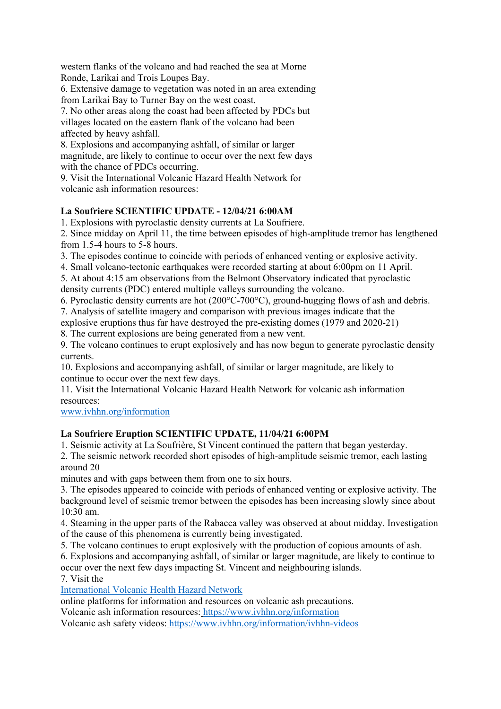western flanks of the volcano and had reached the sea at Morne Ronde, Larikai and Trois Loupes Bay.

6. Extensive damage to vegetation was noted in an area extending from Larikai Bay to Turner Bay on the west coast.

7. No other areas along the coast had been affected by PDCs but villages located on the eastern flank of the volcano had been affected by heavy ashfall.

8. Explosions and accompanying ashfall, of similar or larger magnitude, are likely to continue to occur over the next few days with the chance of PDCs occurring.

9. Visit the International Volcanic Hazard Health Network for volcanic ash information resources:

# **La Soufriere SCIENTIFIC UPDATE - 12/04/21 6:00AM**

1. Explosions with pyroclastic density currents at La Soufriere.

2. Since midday on April 11, the time between episodes of high-amplitude tremor has lengthened from 1.5-4 hours to 5-8 hours.

3. The episodes continue to coincide with periods of enhanced venting or explosive activity.

4. Small volcano-tectonic earthquakes were recorded starting at about 6:00pm on 11 April.

5. At about 4:15 am observations from the Belmont Observatory indicated that pyroclastic density currents (PDC) entered multiple valleys surrounding the volcano.

6. Pyroclastic density currents are hot (200°C-700°C), ground-hugging flows of ash and debris.

7. Analysis of satellite imagery and comparison with previous images indicate that the

explosive eruptions thus far have destroyed the pre-existing domes (1979 and 2020-21)

8. The current explosions are being generated from a new vent.

9. The volcano continues to erupt explosively and has now begun to generate pyroclastic density currents.

10. Explosions and accompanying ashfall, of similar or larger magnitude, are likely to continue to occur over the next few days.

11. Visit the International Volcanic Hazard Health Network for volcanic ash information resources:

www.ivhhn.org/information

# **La Soufriere Eruption SCIENTIFIC UPDATE, 11/04/21 6:00PM**

1. Seismic activity at La Soufrière, St Vincent continued the pattern that began yesterday.

2. The seismic network recorded short episodes of high-amplitude seismic tremor, each lasting around 20

minutes and with gaps between them from one to six hours.

3. The episodes appeared to coincide with periods of enhanced venting or explosive activity. The background level of seismic tremor between the episodes has been increasing slowly since about 10:30 am.

4. Steaming in the upper parts of the Rabacca valley was observed at about midday. Investigation of the cause of this phenomena is currently being investigated.

5. The volcano continues to erupt explosively with the production of copious amounts of ash.

6. Explosions and accompanying ashfall, of similar or larger magnitude, are likely to continue to occur over the next few days impacting St. Vincent and neighbouring islands.

7. Visit the

International Volcanic Health Hazard Network

online platforms for information and resources on volcanic ash precautions.

Volcanic ash information resources: https://www.ivhhn.org/information

Volcanic ash safety videos: https://www.ivhhn.org/information/ivhhn-videos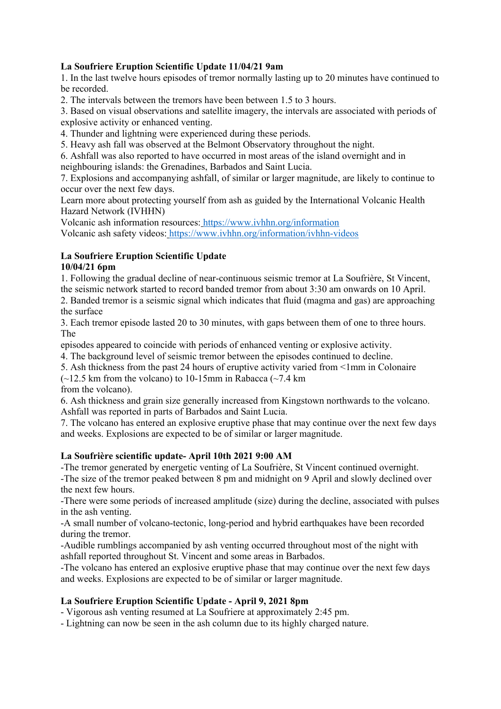## **La Soufriere Eruption Scientific Update 11/04/21 9am**

1. In the last twelve hours episodes of tremor normally lasting up to 20 minutes have continued to be recorded.

2. The intervals between the tremors have been between 1.5 to 3 hours.

3. Based on visual observations and satellite imagery, the intervals are associated with periods of explosive activity or enhanced venting.

4. Thunder and lightning were experienced during these periods.

5. Heavy ash fall was observed at the Belmont Observatory throughout the night.

6. Ashfall was also reported to have occurred in most areas of the island overnight and in neighbouring islands: the Grenadines, Barbados and Saint Lucia.

7. Explosions and accompanying ashfall, of similar or larger magnitude, are likely to continue to occur over the next few days.

Learn more about protecting yourself from ash as guided by the International Volcanic Health Hazard Network (IVHHN)

Volcanic ash information resources: https://www.ivhhn.org/information Volcanic ash safety videos: https://www.ivhhn.org/information/ivhhn-videos

# **La Soufriere Eruption Scientific Update**

#### **10/04/21 6pm**

1. Following the gradual decline of near-continuous seismic tremor at La Soufrière, St Vincent, the seismic network started to record banded tremor from about 3:30 am onwards on 10 April.

2. Banded tremor is a seismic signal which indicates that fluid (magma and gas) are approaching the surface

3. Each tremor episode lasted 20 to 30 minutes, with gaps between them of one to three hours. The

episodes appeared to coincide with periods of enhanced venting or explosive activity.

4. The background level of seismic tremor between the episodes continued to decline.

5. Ash thickness from the past 24 hours of eruptive activity varied from <1mm in Colonaire

 $(-12.5 \text{ km from the volcano})$  to 10-15mm in Rabacca (~7.4 km)

from the volcano).

6. Ash thickness and grain size generally increased from Kingstown northwards to the volcano. Ashfall was reported in parts of Barbados and Saint Lucia.

7. The volcano has entered an explosive eruptive phase that may continue over the next few days and weeks. Explosions are expected to be of similar or larger magnitude.

#### **La Soufrière scientific update- April 10th 2021 9:00 AM**

-The tremor generated by energetic venting of La Soufrière, St Vincent continued overnight. -The size of the tremor peaked between 8 pm and midnight on 9 April and slowly declined over the next few hours.

-There were some periods of increased amplitude (size) during the decline, associated with pulses in the ash venting.

-A small number of volcano-tectonic, long-period and hybrid earthquakes have been recorded during the tremor.

-Audible rumblings accompanied by ash venting occurred throughout most of the night with ashfall reported throughout St. Vincent and some areas in Barbados.

-The volcano has entered an explosive eruptive phase that may continue over the next few days and weeks. Explosions are expected to be of similar or larger magnitude.

# **La Soufriere Eruption Scientific Update - April 9, 2021 8pm**

- Vigorous ash venting resumed at La Soufriere at approximately 2:45 pm.

- Lightning can now be seen in the ash column due to its highly charged nature.